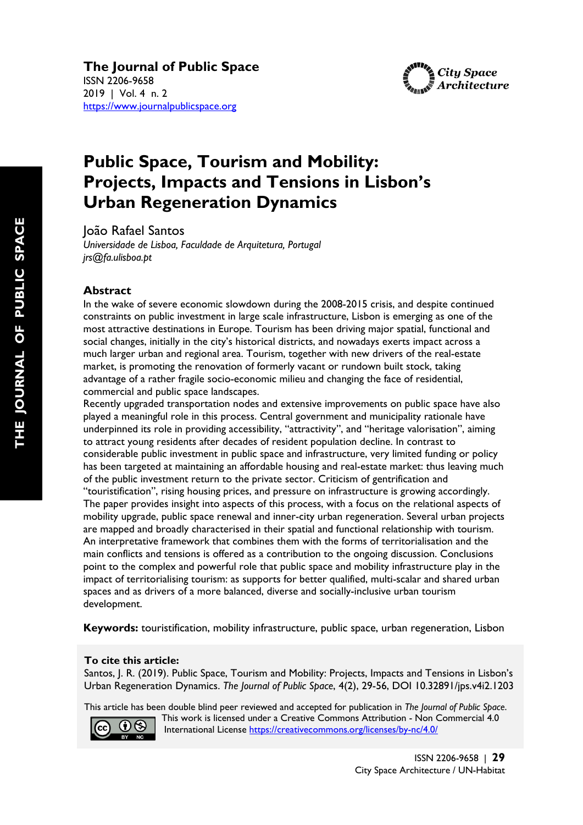**The Journal of Public Space**  ISSN 2206-9658 2019 | Vol. 4 n. 2 https://www.journalpublicspace.org



# **Public Space, Tourism and Mobility: Projects, Impacts and Tensions in Lisbon's Urban Regeneration Dynamics**

João Rafael Santos

*Universidade de Lisboa, Faculdade de Arquitetura, Portugal jrs@fa.ulisboa.pt*

#### **Abstract**

In the wake of severe economic slowdown during the 2008-2015 crisis, and despite continued constraints on public investment in large scale infrastructure, Lisbon is emerging as one of the most attractive destinations in Europe. Tourism has been driving major spatial, functional and social changes, initially in the city's historical districts, and nowadays exerts impact across a much larger urban and regional area. Tourism, together with new drivers of the real-estate market, is promoting the renovation of formerly vacant or rundown built stock, taking advantage of a rather fragile socio-economic milieu and changing the face of residential, commercial and public space landscapes.

Recently upgraded transportation nodes and extensive improvements on public space have also played a meaningful role in this process. Central government and municipality rationale have underpinned its role in providing accessibility, "attractivity", and "heritage valorisation", aiming to attract young residents after decades of resident population decline. In contrast to considerable public investment in public space and infrastructure, very limited funding or policy has been targeted at maintaining an affordable housing and real-estate market: thus leaving much of the public investment return to the private sector. Criticism of gentrification and "touristification", rising housing prices, and pressure on infrastructure is growing accordingly. The paper provides insight into aspects of this process, with a focus on the relational aspects of mobility upgrade, public space renewal and inner-city urban regeneration. Several urban projects are mapped and broadly characterised in their spatial and functional relationship with tourism. An interpretative framework that combines them with the forms of territorialisation and the main conflicts and tensions is offered as a contribution to the ongoing discussion. Conclusions point to the complex and powerful role that public space and mobility infrastructure play in the impact of territorialising tourism: as supports for better qualified, multi-scalar and shared urban spaces and as drivers of a more balanced, diverse and socially-inclusive urban tourism development.

**Keywords:** touristification, mobility infrastructure, public space, urban regeneration, Lisbon

#### **To cite this article:**

 Santos, J. R. (2019). Public Space, Tourism and Mobility: Projects, Impacts and Tensions in Lisbon's Urban Regeneration Dynamics. *The Journal of Public Space*, 4(2), 29-56, DOI 10.32891/jps.v4i2.1203

This article has been double blind peer reviewed and accepted for publication in *The Journal of Public Space*.



 This work is licensed under a Creative Commons Attribution - Non Commercial 4.0 International License https://creativecommons.org/licenses/by-nc/4.0/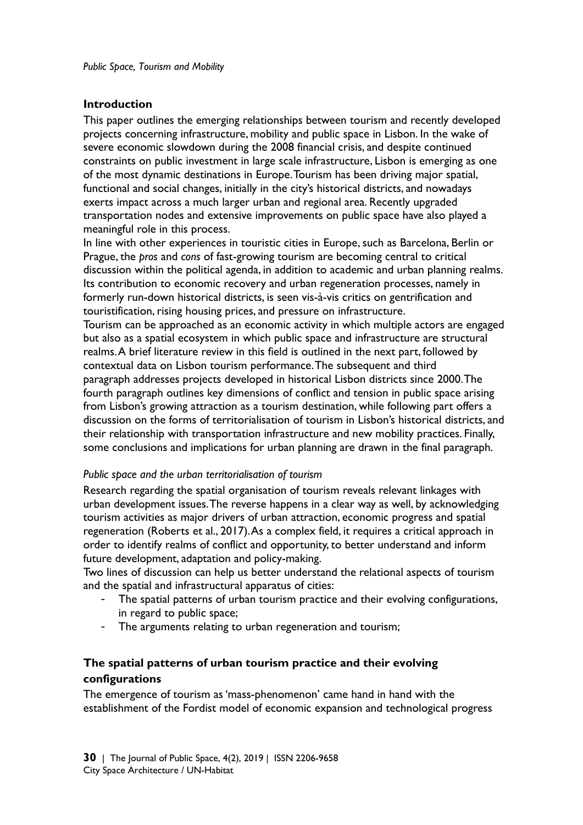#### **Introduction**

This paper outlines the emerging relationships between tourism and recently developed projects concerning infrastructure, mobility and public space in Lisbon. In the wake of severe economic slowdown during the 2008 financial crisis, and despite continued constraints on public investment in large scale infrastructure, Lisbon is emerging as one of the most dynamic destinations in Europe. Tourism has been driving major spatial, functional and social changes, initially in the city's historical districts, and nowadays exerts impact across a much larger urban and regional area. Recently upgraded transportation nodes and extensive improvements on public space have also played a meaningful role in this process.

In line with other experiences in touristic cities in Europe, such as Barcelona, Berlin or Prague, the *pros* and *cons* of fast-growing tourism are becoming central to critical discussion within the political agenda, in addition to academic and urban planning realms. Its contribution to economic recovery and urban regeneration processes, namely in formerly run-down historical districts, is seen vis-à-vis critics on gentrification and touristification, rising housing prices, and pressure on infrastructure.

Tourism can be approached as an economic activity in which multiple actors are engaged but also as a spatial ecosystem in which public space and infrastructure are structural realms. A brief literature review in this field is outlined in the next part, followed by contextual data on Lisbon tourism performance. The subsequent and third paragraph addresses projects developed in historical Lisbon districts since 2000. The fourth paragraph outlines key dimensions of conflict and tension in public space arising from Lisbon's growing attraction as a tourism destination, while following part offers a discussion on the forms of territorialisation of tourism in Lisbon's historical districts, and their relationship with transportation infrastructure and new mobility practices. Finally, some conclusions and implications for urban planning are drawn in the final paragraph.

#### *Public space and the urban territorialisation of tourism*

Research regarding the spatial organisation of tourism reveals relevant linkages with urban development issues. The reverse happens in a clear way as well, by acknowledging tourism activities as major drivers of urban attraction, economic progress and spatial regeneration (Roberts et al., 2017). As a complex field, it requires a critical approach in order to identify realms of conflict and opportunity, to better understand and inform future development, adaptation and policy-making.

Two lines of discussion can help us better understand the relational aspects of tourism and the spatial and infrastructural apparatus of cities:

- The spatial patterns of urban tourism practice and their evolving configurations, in regard to public space;
- The arguments relating to urban regeneration and tourism;

# **The spatial patterns of urban tourism practice and their evolving configurations**

The emergence of tourism as 'mass-phenomenon' came hand in hand with the establishment of the Fordist model of economic expansion and technological progress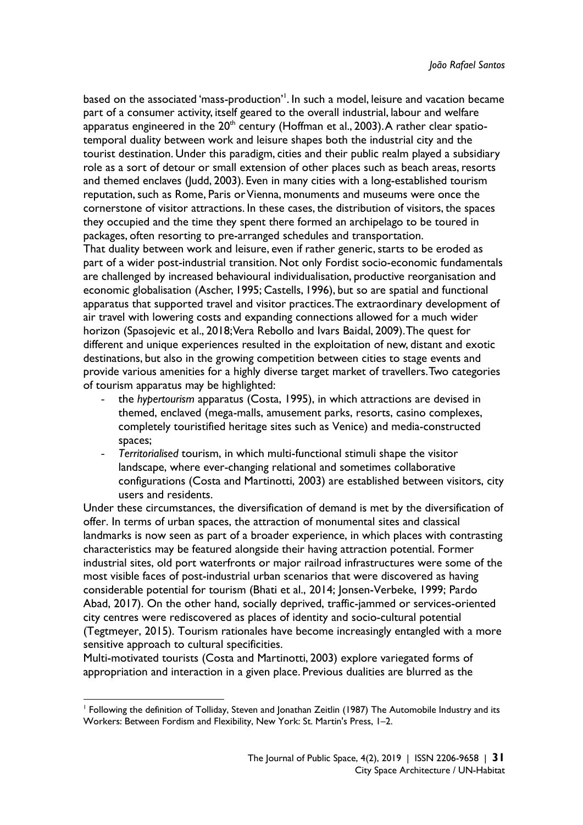based on the associated 'mass-production'<sup>1</sup>. In such a model, leisure and vacation became part of a consumer activity, itself geared to the overall industrial, labour and welfare apparatus engineered in the  $20<sup>th</sup>$  century (Hoffman et al., 2003). A rather clear spatiotemporal duality between work and leisure shapes both the industrial city and the tourist destination. Under this paradigm, cities and their public realm played a subsidiary role as a sort of detour or small extension of other places such as beach areas, resorts and themed enclaves (Judd, 2003). Even in many cities with a long-established tourism reputation, such as Rome, Paris or Vienna, monuments and museums were once the cornerstone of visitor attractions. In these cases, the distribution of visitors, the spaces they occupied and the time they spent there formed an archipelago to be toured in packages, often resorting to pre-arranged schedules and transportation.

That duality between work and leisure, even if rather generic, starts to be eroded as part of a wider post-industrial transition. Not only Fordist socio-economic fundamentals are challenged by increased behavioural individualisation, productive reorganisation and economic globalisation (Ascher, 1995; Castells, 1996), but so are spatial and functional apparatus that supported travel and visitor practices. The extraordinary development of air travel with lowering costs and expanding connections allowed for a much wider horizon (Spasojevic et al., 2018; Vera Rebollo and Ivars Baidal, 2009). The quest for different and unique experiences resulted in the exploitation of new, distant and exotic destinations, but also in the growing competition between cities to stage events and provide various amenities for a highly diverse target market of travellers. Two categories of tourism apparatus may be highlighted:

- the *hypertourism* apparatus (Costa, 1995), in which attractions are devised in themed, enclaved (mega-malls, amusement parks, resorts, casino complexes, completely touristified heritage sites such as Venice) and media-constructed spaces;
- *Territorialised* tourism, in which multi-functional stimuli shape the visitor landscape, where ever-changing relational and sometimes collaborative configurations (Costa and Martinotti, 2003) are established between visitors, city users and residents.

Under these circumstances, the diversification of demand is met by the diversification of offer. In terms of urban spaces, the attraction of monumental sites and classical landmarks is now seen as part of a broader experience, in which places with contrasting characteristics may be featured alongside their having attraction potential. Former industrial sites, old port waterfronts or major railroad infrastructures were some of the most visible faces of post-industrial urban scenarios that were discovered as having considerable potential for tourism (Bhati et al., 2014; Jonsen-Verbeke, 1999; Pardo Abad, 2017). On the other hand, socially deprived, traffic-jammed or services-oriented city centres were rediscovered as places of identity and socio-cultural potential (Tegtmeyer, 2015). Tourism rationales have become increasingly entangled with a more sensitive approach to cultural specificities.

Multi-motivated tourists (Costa and Martinotti, 2003) explore variegated forms of appropriation and interaction in a given place. Previous dualities are blurred as the

**.** 

<sup>1</sup> Following the definition of Tolliday, Steven and Jonathan Zeitlin (1987) The Automobile Industry and its Workers: Between Fordism and Flexibility, New York: St. Martin's Press, 1–2.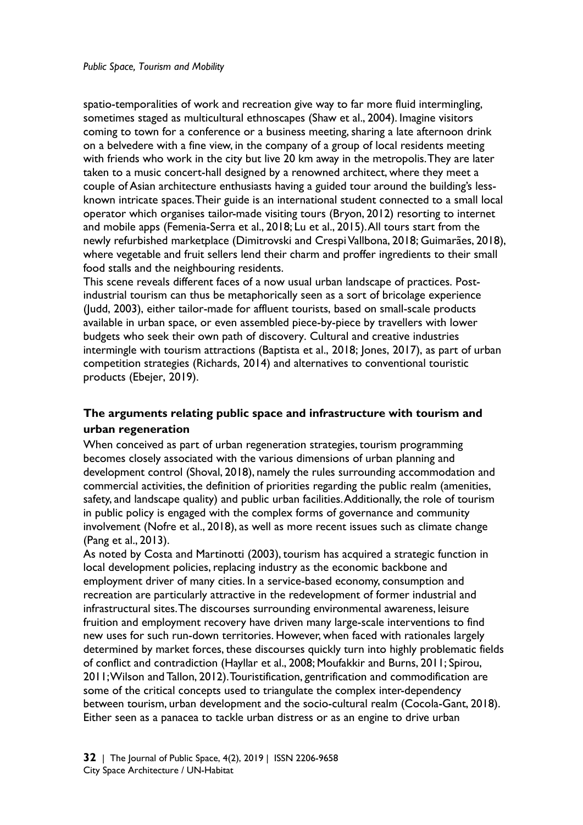spatio-temporalities of work and recreation give way to far more fluid intermingling, sometimes staged as multicultural ethnoscapes (Shaw et al., 2004). Imagine visitors coming to town for a conference or a business meeting, sharing a late afternoon drink on a belvedere with a fine view, in the company of a group of local residents meeting with friends who work in the city but live 20 km away in the metropolis. They are later taken to a music concert-hall designed by a renowned architect, where they meet a couple of Asian architecture enthusiasts having a guided tour around the building's lessknown intricate spaces. Their guide is an international student connected to a small local operator which organises tailor-made visiting tours (Bryon, 2012) resorting to internet and mobile apps (Femenia-Serra et al., 2018; Lu et al., 2015). All tours start from the newly refurbished marketplace (Dimitrovski and Crespi Vallbona, 2018; Guimarães, 2018), where vegetable and fruit sellers lend their charm and proffer ingredients to their small food stalls and the neighbouring residents.

This scene reveals different faces of a now usual urban landscape of practices. Postindustrial tourism can thus be metaphorically seen as a sort of bricolage experience (Judd, 2003), either tailor-made for affluent tourists, based on small-scale products available in urban space, or even assembled piece-by-piece by travellers with lower budgets who seek their own path of discovery. Cultural and creative industries intermingle with tourism attractions (Baptista et al., 2018; Jones, 2017), as part of urban competition strategies (Richards, 2014) and alternatives to conventional touristic products (Ebejer, 2019).

## **The arguments relating public space and infrastructure with tourism and urban regeneration**

When conceived as part of urban regeneration strategies, tourism programming becomes closely associated with the various dimensions of urban planning and development control (Shoval, 2018), namely the rules surrounding accommodation and commercial activities, the definition of priorities regarding the public realm (amenities, safety, and landscape quality) and public urban facilities. Additionally, the role of tourism in public policy is engaged with the complex forms of governance and community involvement (Nofre et al., 2018), as well as more recent issues such as climate change (Pang et al., 2013).

As noted by Costa and Martinotti (2003), tourism has acquired a strategic function in local development policies, replacing industry as the economic backbone and employment driver of many cities. In a service-based economy, consumption and recreation are particularly attractive in the redevelopment of former industrial and infrastructural sites. The discourses surrounding environmental awareness, leisure fruition and employment recovery have driven many large-scale interventions to find new uses for such run-down territories. However, when faced with rationales largely determined by market forces, these discourses quickly turn into highly problematic fields of conflict and contradiction (Hayllar et al., 2008; Moufakkir and Burns, 2011; Spirou, 2011; Wilson and Tallon, 2012). Touristification, gentrification and commodification are some of the critical concepts used to triangulate the complex inter-dependency between tourism, urban development and the socio-cultural realm (Cocola-Gant, 2018). Either seen as a panacea to tackle urban distress or as an engine to drive urban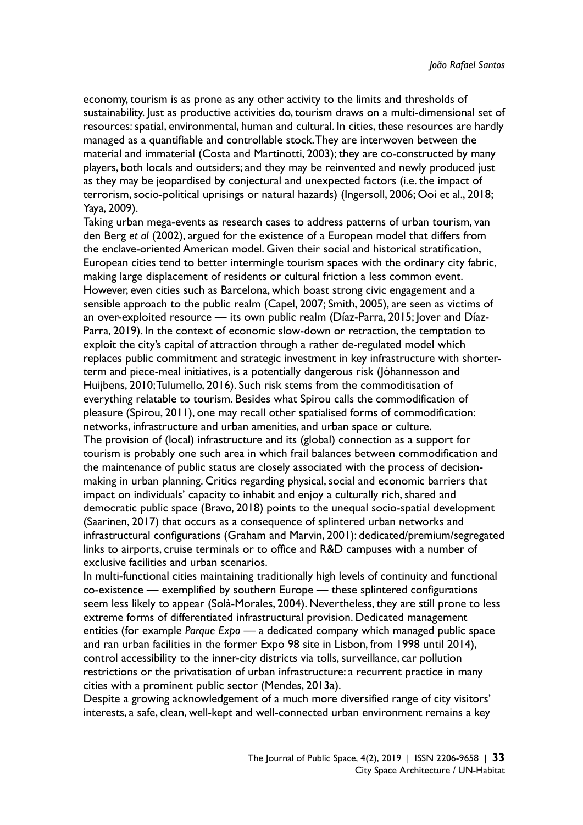economy, tourism is as prone as any other activity to the limits and thresholds of sustainability. Just as productive activities do, tourism draws on a multi-dimensional set of resources: spatial, environmental, human and cultural. In cities, these resources are hardly managed as a quantifiable and controllable stock. They are interwoven between the material and immaterial (Costa and Martinotti, 2003); they are co-constructed by many players, both locals and outsiders; and they may be reinvented and newly produced just as they may be jeopardised by conjectural and unexpected factors (i.e. the impact of terrorism, socio-political uprisings or natural hazards) (Ingersoll, 2006; Ooi et al., 2018; Yaya, 2009).

Taking urban mega-events as research cases to address patterns of urban tourism, van den Berg *et al* (2002), argued for the existence of a European model that differs from the enclave-oriented American model. Given their social and historical stratification, European cities tend to better intermingle tourism spaces with the ordinary city fabric, making large displacement of residents or cultural friction a less common event. However, even cities such as Barcelona, which boast strong civic engagement and a sensible approach to the public realm (Capel, 2007; Smith, 2005), are seen as victims of an over-exploited resource — its own public realm (Díaz-Parra, 2015; Jover and Díaz-Parra, 2019). In the context of economic slow-down or retraction, the temptation to exploit the city's capital of attraction through a rather de-regulated model which replaces public commitment and strategic investment in key infrastructure with shorterterm and piece-meal initiatives, is a potentially dangerous risk (Jóhannesson and Huijbens, 2010; Tulumello, 2016). Such risk stems from the commoditisation of everything relatable to tourism. Besides what Spirou calls the commodification of pleasure (Spirou, 2011), one may recall other spatialised forms of commodification: networks, infrastructure and urban amenities, and urban space or culture. The provision of (local) infrastructure and its (global) connection as a support for tourism is probably one such area in which frail balances between commodification and the maintenance of public status are closely associated with the process of decisionmaking in urban planning. Critics regarding physical, social and economic barriers that impact on individuals' capacity to inhabit and enjoy a culturally rich, shared and democratic public space (Bravo, 2018) points to the unequal socio-spatial development (Saarinen, 2017) that occurs as a consequence of splintered urban networks and infrastructural configurations (Graham and Marvin, 2001): dedicated/premium/segregated links to airports, cruise terminals or to office and R&D campuses with a number of exclusive facilities and urban scenarios.

In multi-functional cities maintaining traditionally high levels of continuity and functional co-existence — exemplified by southern Europe — these splintered configurations seem less likely to appear (Solà-Morales, 2004). Nevertheless, they are still prone to less extreme forms of differentiated infrastructural provision. Dedicated management entities (for example *Parque Expo —* a dedicated company which managed public space and ran urban facilities in the former Expo 98 site in Lisbon, from 1998 until 2014), control accessibility to the inner-city districts via tolls, surveillance, car pollution restrictions or the privatisation of urban infrastructure: a recurrent practice in many cities with a prominent public sector (Mendes, 2013a).

Despite a growing acknowledgement of a much more diversified range of city visitors' interests, a safe, clean, well-kept and well-connected urban environment remains a key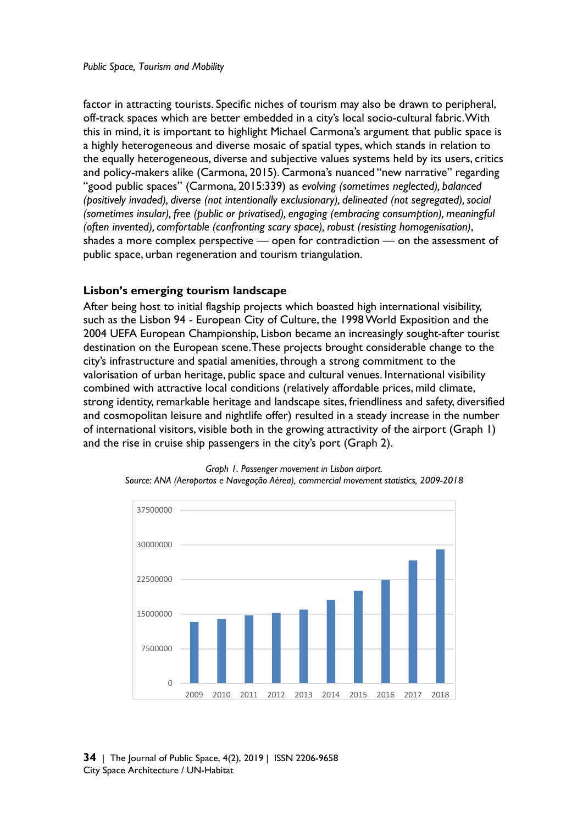factor in attracting tourists. Specific niches of tourism may also be drawn to peripheral, off-track spaces which are better embedded in a city's local socio-cultural fabric. With this in mind, it is important to highlight Michael Carmona's argument that public space is a highly heterogeneous and diverse mosaic of spatial types, which stands in relation to the equally heterogeneous, diverse and subjective values systems held by its users, critics and policy-makers alike (Carmona, 2015). Carmona's nuanced "new narrative" regarding "good public spaces" (Carmona, 2015:339) as *evolving (sometimes neglected), balanced (positively invaded), diverse (not intentionally exclusionary), delineated (not segregated), social (sometimes insular), free (public or privatised), engaging (embracing consumption), meaningful (often invented), comfortable (confronting scary space), robust (resisting homogenisation)*, shades a more complex perspective — open for contradiction — on the assessment of public space, urban regeneration and tourism triangulation.

## **Lisbon's emerging tourism landscape**

After being host to initial flagship projects which boasted high international visibility, such as the Lisbon 94 - European City of Culture, the 1998 World Exposition and the 2004 UEFA European Championship, Lisbon became an increasingly sought-after tourist destination on the European scene. These projects brought considerable change to the city's infrastructure and spatial amenities, through a strong commitment to the valorisation of urban heritage, public space and cultural venues. International visibility combined with attractive local conditions (relatively affordable prices, mild climate, strong identity, remarkable heritage and landscape sites, friendliness and safety, diversified and cosmopolitan leisure and nightlife offer) resulted in a steady increase in the number of international visitors, visible both in the growing attractivity of the airport (Graph 1) and the rise in cruise ship passengers in the city's port (Graph 2).



*Graph 1. Passenger movement in Lisbon airport. Source: ANA (Aeroportos e Navegação Aérea), commercial movement statistics, 2009-2018*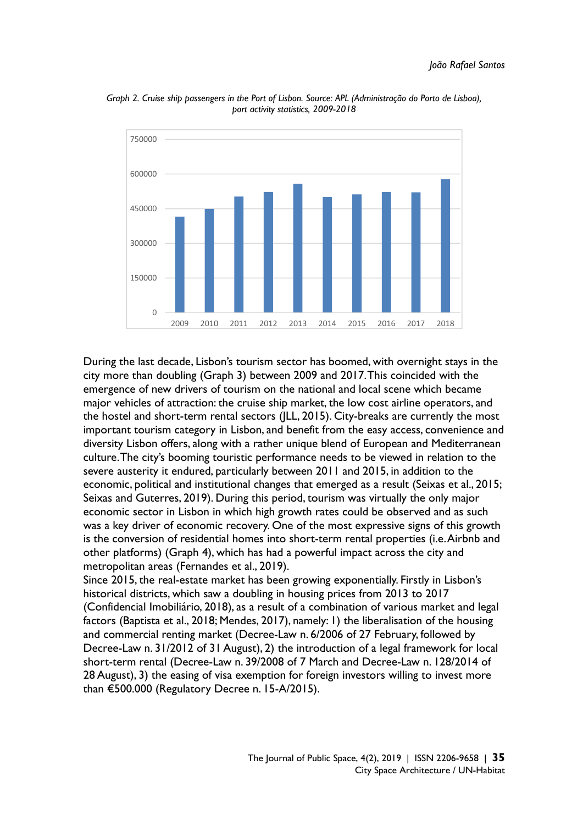

*Graph 2. Cruise ship passengers in the Port of Lisbon. Source: APL (Administração do Porto de Lisboa), port activity statistics, 2009-2018* 

During the last decade, Lisbon's tourism sector has boomed, with overnight stays in the city more than doubling (Graph 3) between 2009 and 2017. This coincided with the emergence of new drivers of tourism on the national and local scene which became major vehicles of attraction: the cruise ship market, the low cost airline operators, and the hostel and short-term rental sectors (JLL, 2015). City-breaks are currently the most important tourism category in Lisbon, and benefit from the easy access, convenience and diversity Lisbon offers, along with a rather unique blend of European and Mediterranean culture. The city's booming touristic performance needs to be viewed in relation to the severe austerity it endured, particularly between 2011 and 2015, in addition to the economic, political and institutional changes that emerged as a result (Seixas et al., 2015; Seixas and Guterres, 2019). During this period, tourism was virtually the only major economic sector in Lisbon in which high growth rates could be observed and as such was a key driver of economic recovery. One of the most expressive signs of this growth is the conversion of residential homes into short-term rental properties (i.e. Airbnb and other platforms) (Graph 4), which has had a powerful impact across the city and metropolitan areas (Fernandes et al., 2019).

Since 2015, the real-estate market has been growing exponentially. Firstly in Lisbon's historical districts, which saw a doubling in housing prices from 2013 to 2017 (Confidencial Imobiliário, 2018), as a result of a combination of various market and legal factors (Baptista et al., 2018; Mendes, 2017), namely: 1) the liberalisation of the housing and commercial renting market (Decree-Law n. 6/2006 of 27 February, followed by Decree-Law n. 31/2012 of 31 August), 2) the introduction of a legal framework for local short-term rental (Decree-Law n. 39/2008 of 7 March and Decree-Law n. 128/2014 of 28 August), 3) the easing of visa exemption for foreign investors willing to invest more than €500.000 (Regulatory Decree n. 15-A/2015).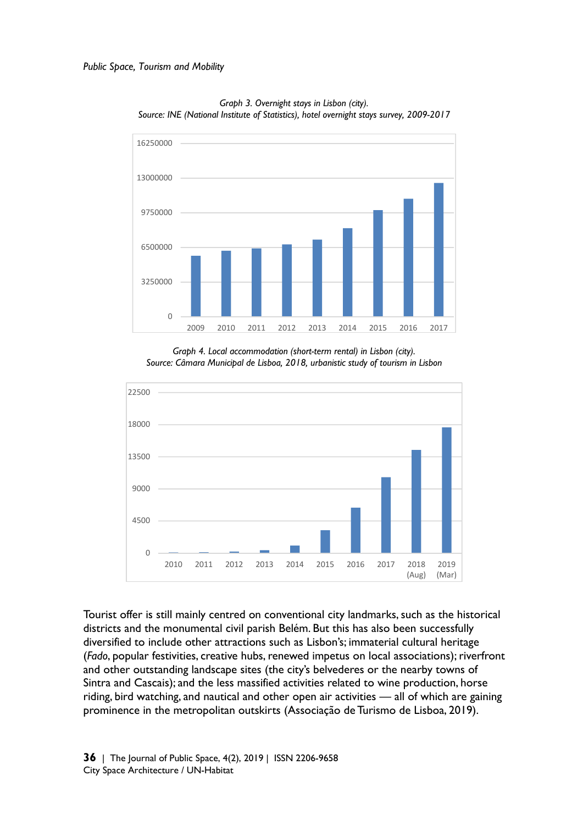

*Graph 3. Overnight stays in Lisbon (city). Source: INE (National Institute of Statistics), hotel overnight stays survey, 2009-2017* 

*Graph 4. Local accommodation (short-term rental) in Lisbon (city). Source: Câmara Municipal de Lisboa, 2018, urbanistic study of tourism in Lisbon* 



Tourist offer is still mainly centred on conventional city landmarks, such as the historical districts and the monumental civil parish Belém. But this has also been successfully diversified to include other attractions such as Lisbon's; immaterial cultural heritage (*Fado*, popular festivities, creative hubs, renewed impetus on local associations); riverfront and other outstanding landscape sites (the city's belvederes or the nearby towns of Sintra and Cascais); and the less massified activities related to wine production, horse riding, bird watching, and nautical and other open air activities — all of which are gaining prominence in the metropolitan outskirts (Associação de Turismo de Lisboa, 2019).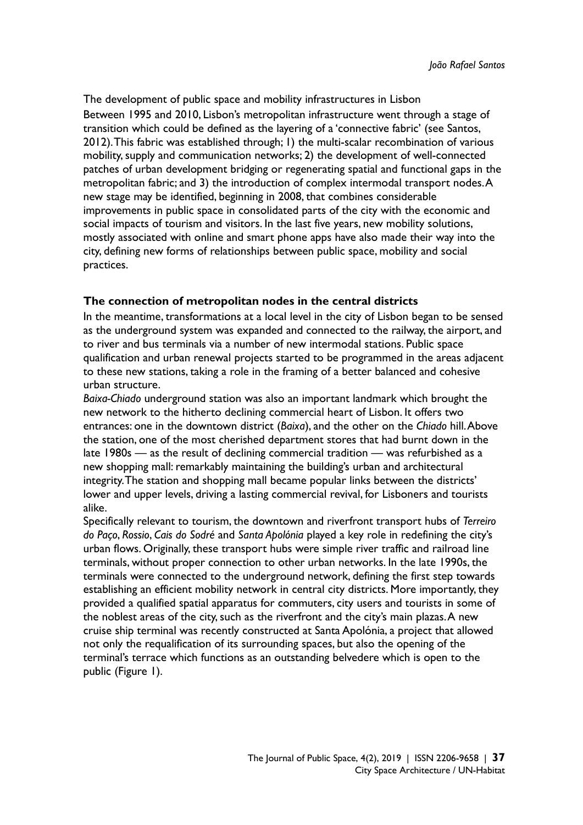The development of public space and mobility infrastructures in Lisbon Between 1995 and 2010, Lisbon's metropolitan infrastructure went through a stage of transition which could be defined as the layering of a 'connective fabric' (see Santos, 2012). This fabric was established through; 1) the multi-scalar recombination of various mobility, supply and communication networks; 2) the development of well-connected patches of urban development bridging or regenerating spatial and functional gaps in the metropolitan fabric; and 3) the introduction of complex intermodal transport nodes. A new stage may be identified, beginning in 2008, that combines considerable improvements in public space in consolidated parts of the city with the economic and social impacts of tourism and visitors. In the last five years, new mobility solutions, mostly associated with online and smart phone apps have also made their way into the city, defining new forms of relationships between public space, mobility and social practices.

## **The connection of metropolitan nodes in the central districts**

In the meantime, transformations at a local level in the city of Lisbon began to be sensed as the underground system was expanded and connected to the railway, the airport, and to river and bus terminals via a number of new intermodal stations. Public space qualification and urban renewal projects started to be programmed in the areas adjacent to these new stations, taking a role in the framing of a better balanced and cohesive urban structure.

*Baixa-Chiado* underground station was also an important landmark which brought the new network to the hitherto declining commercial heart of Lisbon. It offers two entrances: one in the downtown district (*Baixa*), and the other on the *Chiado* hill. Above the station, one of the most cherished department stores that had burnt down in the late 1980s — as the result of declining commercial tradition — was refurbished as a new shopping mall: remarkably maintaining the building's urban and architectural integrity. The station and shopping mall became popular links between the districts' lower and upper levels, driving a lasting commercial revival, for Lisboners and tourists alike.

Specifically relevant to tourism, the downtown and riverfront transport hubs of *Terreiro do Paço*, *Rossio*, *Cais do Sodré* and *Santa Apolónia* played a key role in redefining the city's urban flows. Originally, these transport hubs were simple river traffic and railroad line terminals, without proper connection to other urban networks. In the late 1990s, the terminals were connected to the underground network, defining the first step towards establishing an efficient mobility network in central city districts. More importantly, they provided a qualified spatial apparatus for commuters, city users and tourists in some of the noblest areas of the city, such as the riverfront and the city's main plazas. A new cruise ship terminal was recently constructed at Santa Apolónia, a project that allowed not only the requalification of its surrounding spaces, but also the opening of the terminal's terrace which functions as an outstanding belvedere which is open to the public (Figure 1).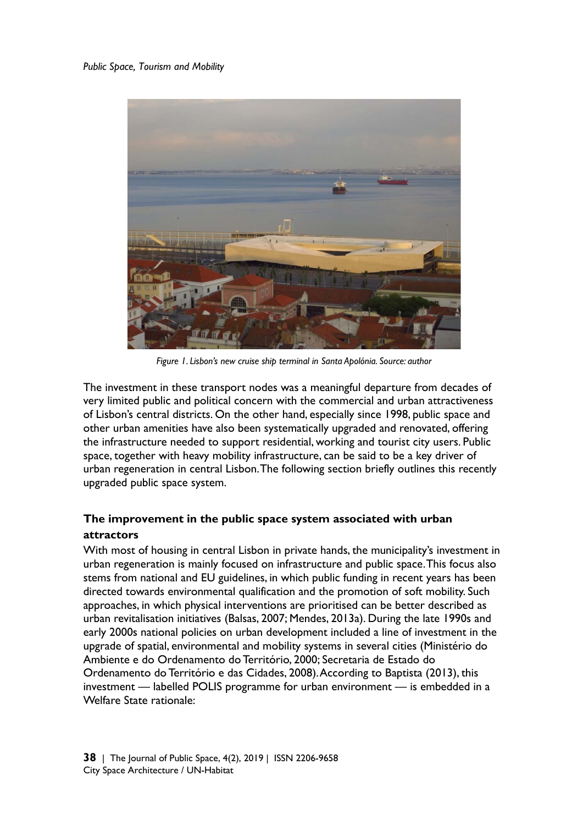#### *Public Space, Tourism and Mobility*



*Figure 1. Lisbon's new cruise ship terminal in Santa Apolónia. Source: author* 

The investment in these transport nodes was a meaningful departure from decades of very limited public and political concern with the commercial and urban attractiveness of Lisbon's central districts. On the other hand, especially since 1998, public space and other urban amenities have also been systematically upgraded and renovated, offering the infrastructure needed to support residential, working and tourist city users. Public space, together with heavy mobility infrastructure, can be said to be a key driver of urban regeneration in central Lisbon. The following section briefly outlines this recently upgraded public space system.

# **The improvement in the public space system associated with urban attractors**

With most of housing in central Lisbon in private hands, the municipality's investment in urban regeneration is mainly focused on infrastructure and public space. This focus also stems from national and EU guidelines, in which public funding in recent years has been directed towards environmental qualification and the promotion of soft mobility. Such approaches, in which physical interventions are prioritised can be better described as urban revitalisation initiatives (Balsas, 2007; Mendes, 2013a). During the late 1990s and early 2000s national policies on urban development included a line of investment in the upgrade of spatial, environmental and mobility systems in several cities (Ministério do Ambiente e do Ordenamento do Território, 2000; Secretaria de Estado do Ordenamento do Território e das Cidades, 2008). According to Baptista (2013), this investment — labelled POLIS programme for urban environment *—* is embedded in a Welfare State rationale: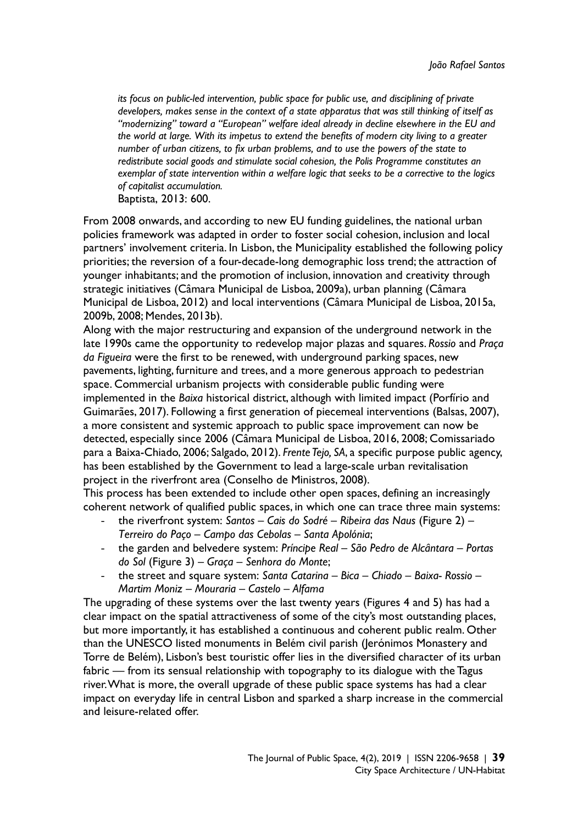*its focus on public-led intervention, public space for public use, and disciplining of private developers, makes sense in the context of a state apparatus that was still thinking of itself as "modernizing" toward a "European" welfare ideal already in decline elsewhere in the EU and the world at large. With its impetus to extend the benefits of modern city living to a greater number of urban citizens, to fix urban problems, and to use the powers of the state to redistribute social goods and stimulate social cohesion, the Polis Programme constitutes an exemplar of state intervention within a welfare logic that seeks to be a corrective to the logics of capitalist accumulation.* 

Baptista, 2013: 600.

From 2008 onwards, and according to new EU funding guidelines, the national urban policies framework was adapted in order to foster social cohesion, inclusion and local partners' involvement criteria. In Lisbon, the Municipality established the following policy priorities; the reversion of a four-decade-long demographic loss trend; the attraction of younger inhabitants; and the promotion of inclusion, innovation and creativity through strategic initiatives (Câmara Municipal de Lisboa, 2009a), urban planning (Câmara Municipal de Lisboa, 2012) and local interventions (Câmara Municipal de Lisboa, 2015a, 2009b, 2008; Mendes, 2013b).

Along with the major restructuring and expansion of the underground network in the late 1990s came the opportunity to redevelop major plazas and squares. *Rossio* and *Praça da Figueira* were the first to be renewed, with underground parking spaces, new pavements, lighting, furniture and trees, and a more generous approach to pedestrian space. Commercial urbanism projects with considerable public funding were implemented in the *Baixa* historical district, although with limited impact (Porfírio and Guimarães, 2017). Following a first generation of piecemeal interventions (Balsas, 2007), a more consistent and systemic approach to public space improvement can now be detected, especially since 2006 (Câmara Municipal de Lisboa, 2016, 2008; Comissariado para a Baixa-Chiado, 2006; Salgado, 2012). *Frente Tejo, SA*, a specific purpose public agency, has been established by the Government to lead a large-scale urban revitalisation project in the riverfront area (Conselho de Ministros, 2008).

This process has been extended to include other open spaces, defining an increasingly coherent network of qualified public spaces, in which one can trace three main systems:

- the riverfront system: *Santos Cais do Sodré Ribeira das Naus* (Figure 2)  *Terreiro do Paço – Campo das Cebolas – Santa Apolónia*;
- the garden and belvedere system: *Príncipe Real São Pedro de Alcântara Portas do Sol* (Figure 3) *– Graça – Senhora do Monte*;
- the street and square system: *Santa Catarina Bica Chiado Baixa- Rossio Martim Moniz – Mouraria – Castelo – Alfama*

The upgrading of these systems over the last twenty years (Figures 4 and 5) has had a clear impact on the spatial attractiveness of some of the city's most outstanding places, but more importantly, it has established a continuous and coherent public realm. Other than the UNESCO listed monuments in Belém civil parish (Jerónimos Monastery and Torre de Belém), Lisbon's best touristic offer lies in the diversified character of its urban fabric — from its sensual relationship with topography to its dialogue with the Tagus river. What is more, the overall upgrade of these public space systems has had a clear impact on everyday life in central Lisbon and sparked a sharp increase in the commercial and leisure-related offer.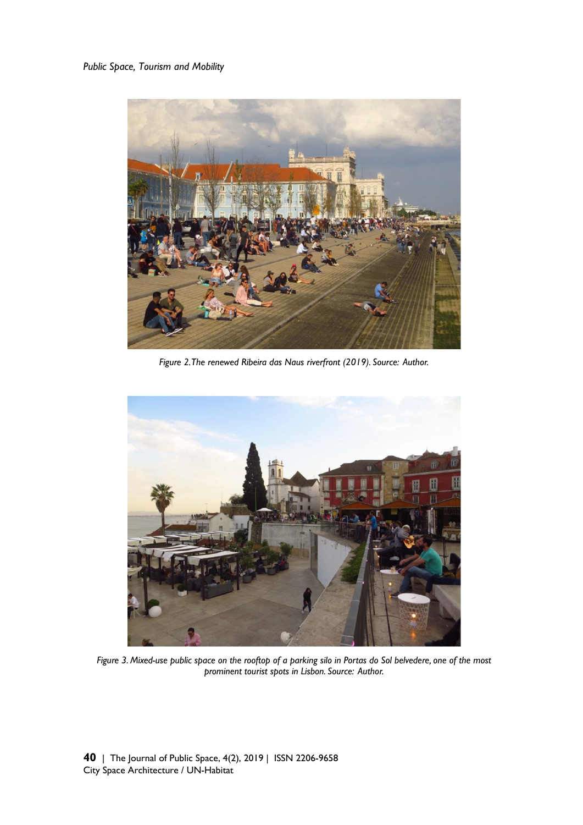#### *Public Space, Tourism and Mobility*



*Figure 2. The renewed Ribeira das Naus riverfront (2019). Source: Author.*



*Figure 3. Mixed-use public space on the rooftop of a parking silo in Portas do Sol belvedere, one of the most prominent tourist spots in Lisbon. Source: Author.*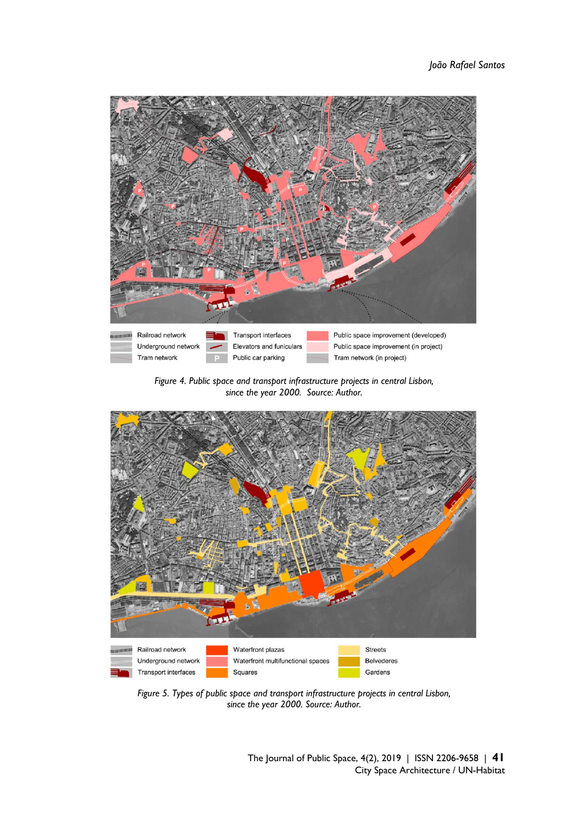

*Figure 4. Public space and transport infrastructure projects in central Lisbon, since the year 2000. Source: Author.* 



*Figure 5. Types of public space and transport infrastructure projects in central Lisbon, since the year 2000. Source: Author.* 

The Journal of Public Space, 4(2), 2019 | ISSN 2206-9658 | **41** City Space Architecture / UN-Habitat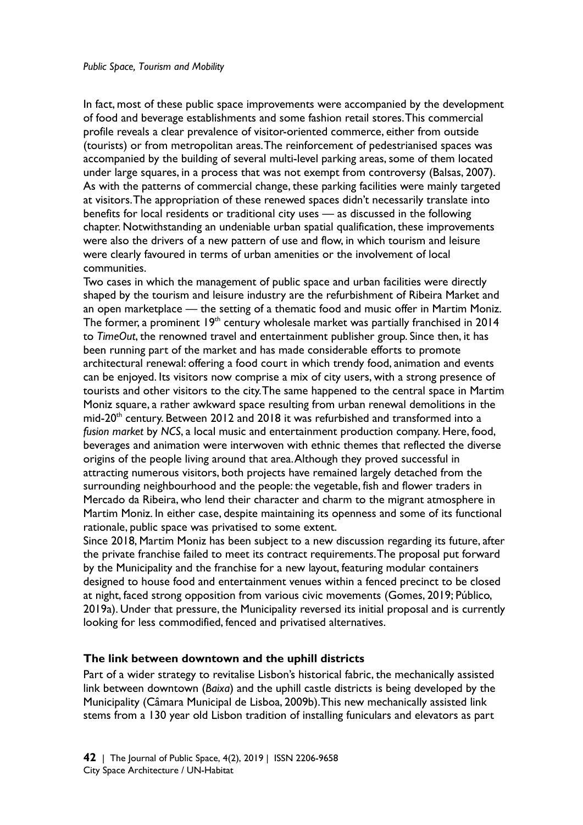In fact, most of these public space improvements were accompanied by the development of food and beverage establishments and some fashion retail stores. This commercial profile reveals a clear prevalence of visitor-oriented commerce, either from outside (tourists) or from metropolitan areas. The reinforcement of pedestrianised spaces was accompanied by the building of several multi-level parking areas, some of them located under large squares, in a process that was not exempt from controversy (Balsas, 2007). As with the patterns of commercial change, these parking facilities were mainly targeted at visitors. The appropriation of these renewed spaces didn't necessarily translate into benefits for local residents or traditional city uses — as discussed in the following chapter. Notwithstanding an undeniable urban spatial qualification, these improvements were also the drivers of a new pattern of use and flow, in which tourism and leisure were clearly favoured in terms of urban amenities or the involvement of local communities.

Two cases in which the management of public space and urban facilities were directly shaped by the tourism and leisure industry are the refurbishment of Ribeira Market and an open marketplace — the setting of a thematic food and music offer in Martim Moniz. The former, a prominent 19<sup>th</sup> century wholesale market was partially franchised in 2014 to *TimeOut*, the renowned travel and entertainment publisher group. Since then, it has been running part of the market and has made considerable efforts to promote architectural renewal: offering a food court in which trendy food, animation and events can be enjoyed. Its visitors now comprise a mix of city users, with a strong presence of tourists and other visitors to the city. The same happened to the central space in Martim Moniz square, a rather awkward space resulting from urban renewal demolitions in the mid-20<sup>th</sup> century. Between 2012 and 2018 it was refurbished and transformed into a *fusion market* by *NCS*, a local music and entertainment production company. Here, food, beverages and animation were interwoven with ethnic themes that reflected the diverse origins of the people living around that area. Although they proved successful in attracting numerous visitors, both projects have remained largely detached from the surrounding neighbourhood and the people: the vegetable, fish and flower traders in Mercado da Ribeira, who lend their character and charm to the migrant atmosphere in Martim Moniz. In either case, despite maintaining its openness and some of its functional rationale, public space was privatised to some extent.

Since 2018, Martim Moniz has been subject to a new discussion regarding its future, after the private franchise failed to meet its contract requirements. The proposal put forward by the Municipality and the franchise for a new layout, featuring modular containers designed to house food and entertainment venues within a fenced precinct to be closed at night, faced strong opposition from various civic movements (Gomes, 2019; Público, 2019a). Under that pressure, the Municipality reversed its initial proposal and is currently looking for less commodified, fenced and privatised alternatives.

## **The link between downtown and the uphill districts**

Part of a wider strategy to revitalise Lisbon's historical fabric, the mechanically assisted link between downtown (*Baixa*) and the uphill castle districts is being developed by the Municipality (Câmara Municipal de Lisboa, 2009b). This new mechanically assisted link stems from a 130 year old Lisbon tradition of installing funiculars and elevators as part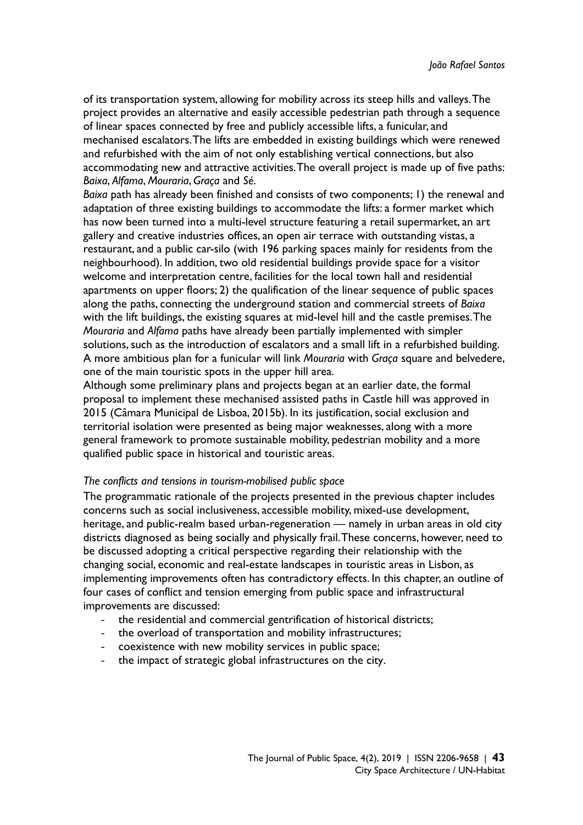of its transportation system, allowing for mobility across its steep hills and valleys. The project provides an alternative and easily accessible pedestrian path through a sequence of linear spaces connected by free and publicly accessible lifts, a funicular, and mechanised escalators. The lifts are embedded in existing buildings which were renewed and refurbished with the aim of not only establishing vertical connections, but also accommodating new and attractive activities. The overall project is made up of five paths: *Baixa*, *Alfama*, *Mouraria*, *Graça* and *Sé*.

*Baixa* path has already been finished and consists of two components; 1) the renewal and adaptation of three existing buildings to accommodate the lifts: a former market which has now been turned into a multi-level structure featuring a retail supermarket, an art gallery and creative industries offices, an open air terrace with outstanding vistas, a restaurant, and a public car-silo (with 196 parking spaces mainly for residents from the neighbourhood). In addition, two old residential buildings provide space for a visitor welcome and interpretation centre, facilities for the local town hall and residential apartments on upper floors; 2) the qualification of the linear sequence of public spaces along the paths, connecting the underground station and commercial streets of *Baixa* with the lift buildings, the existing squares at mid-level hill and the castle premises. The *Mouraria* and *Alfama* paths have already been partially implemented with simpler solutions, such as the introduction of escalators and a small lift in a refurbished building. A more ambitious plan for a funicular will link *Mouraria* with *Graça* square and belvedere, one of the main touristic spots in the upper hill area.

Although some preliminary plans and projects began at an earlier date, the formal proposal to implement these mechanised assisted paths in Castle hill was approved in 2015 (Câmara Municipal de Lisboa, 2015b). In its justification, social exclusion and territorial isolation were presented as being major weaknesses, along with a more general framework to promote sustainable mobility, pedestrian mobility and a more qualified public space in historical and touristic areas.

#### *The conflicts and tensions in tourism-mobilised public space*

The programmatic rationale of the projects presented in the previous chapter includes concerns such as social inclusiveness, accessible mobility, mixed-use development, heritage, and public-realm based urban-regeneration — namely in urban areas in old city districts diagnosed as being socially and physically frail. These concerns, however, need to be discussed adopting a critical perspective regarding their relationship with the changing social, economic and real-estate landscapes in touristic areas in Lisbon, as implementing improvements often has contradictory effects. In this chapter, an outline of four cases of conflict and tension emerging from public space and infrastructural improvements are discussed:

- the residential and commercial gentrification of historical districts;
- the overload of transportation and mobility infrastructures;
- coexistence with new mobility services in public space;
- the impact of strategic global infrastructures on the city.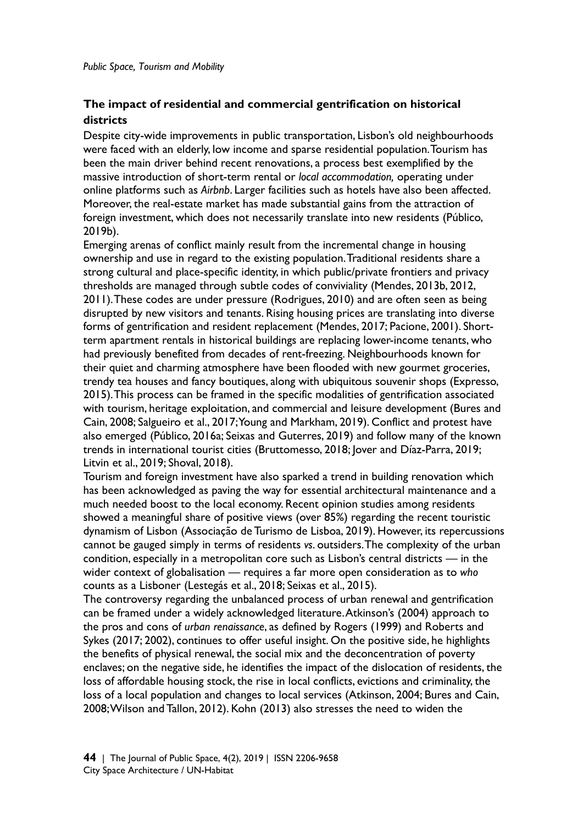# **The impact of residential and commercial gentrification on historical districts**

Despite city-wide improvements in public transportation, Lisbon's old neighbourhoods were faced with an elderly, low income and sparse residential population. Tourism has been the main driver behind recent renovations, a process best exemplified by the massive introduction of short-term rental or *local accommodation,* operating under online platforms such as *Airbnb*. Larger facilities such as hotels have also been affected. Moreover, the real-estate market has made substantial gains from the attraction of foreign investment, which does not necessarily translate into new residents (Público, 2019b).

Emerging arenas of conflict mainly result from the incremental change in housing ownership and use in regard to the existing population. Traditional residents share a strong cultural and place-specific identity, in which public/private frontiers and privacy thresholds are managed through subtle codes of conviviality (Mendes, 2013b, 2012, 2011). These codes are under pressure (Rodrigues, 2010) and are often seen as being disrupted by new visitors and tenants. Rising housing prices are translating into diverse forms of gentrification and resident replacement (Mendes, 2017; Pacione, 2001). Shortterm apartment rentals in historical buildings are replacing lower-income tenants, who had previously benefited from decades of rent-freezing. Neighbourhoods known for their quiet and charming atmosphere have been flooded with new gourmet groceries, trendy tea houses and fancy boutiques, along with ubiquitous souvenir shops (Expresso, 2015). This process can be framed in the specific modalities of gentrification associated with tourism, heritage exploitation, and commercial and leisure development (Bures and Cain, 2008; Salgueiro et al., 2017; Young and Markham, 2019). Conflict and protest have also emerged (Público, 2016a; Seixas and Guterres, 2019) and follow many of the known trends in international tourist cities (Bruttomesso, 2018; Jover and Díaz-Parra, 2019; Litvin et al., 2019; Shoval, 2018).

Tourism and foreign investment have also sparked a trend in building renovation which has been acknowledged as paving the way for essential architectural maintenance and a much needed boost to the local economy. Recent opinion studies among residents showed a meaningful share of positive views (over 85%) regarding the recent touristic dynamism of Lisbon (Associação de Turismo de Lisboa, 2019). However, its repercussions cannot be gauged simply in terms of residents *vs*. outsiders. The complexity of the urban condition, especially in a metropolitan core such as Lisbon's central districts — in the wider context of globalisation — requires a far more open consideration as to *who*  counts as a Lisboner (Lestegás et al., 2018; Seixas et al., 2015).

The controversy regarding the unbalanced process of urban renewal and gentrification can be framed under a widely acknowledged literature. Atkinson's (2004) approach to the pros and cons of *urban renaissance*, as defined by Rogers (1999) and Roberts and Sykes (2017; 2002), continues to offer useful insight. On the positive side, he highlights the benefits of physical renewal, the social mix and the deconcentration of poverty enclaves; on the negative side, he identifies the impact of the dislocation of residents, the loss of affordable housing stock, the rise in local conflicts, evictions and criminality, the loss of a local population and changes to local services (Atkinson, 2004; Bures and Cain, 2008; Wilson and Tallon, 2012). Kohn (2013) also stresses the need to widen the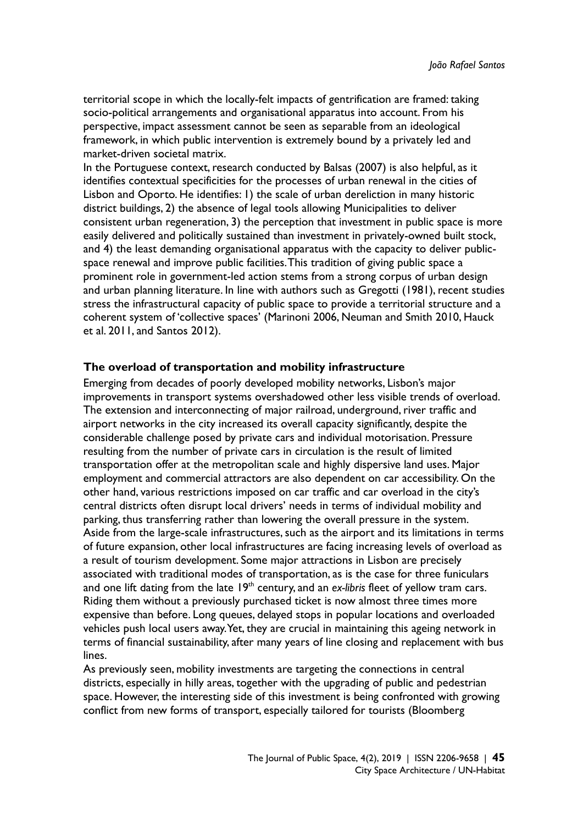territorial scope in which the locally-felt impacts of gentrification are framed: taking socio-political arrangements and organisational apparatus into account. From his perspective, impact assessment cannot be seen as separable from an ideological framework, in which public intervention is extremely bound by a privately led and market-driven societal matrix.

In the Portuguese context, research conducted by Balsas (2007) is also helpful, as it identifies contextual specificities for the processes of urban renewal in the cities of Lisbon and Oporto. He identifies: 1) the scale of urban dereliction in many historic district buildings, 2) the absence of legal tools allowing Municipalities to deliver consistent urban regeneration, 3) the perception that investment in public space is more easily delivered and politically sustained than investment in privately-owned built stock, and 4) the least demanding organisational apparatus with the capacity to deliver publicspace renewal and improve public facilities. This tradition of giving public space a prominent role in government-led action stems from a strong corpus of urban design and urban planning literature. In line with authors such as Gregotti (1981), recent studies stress the infrastructural capacity of public space to provide a territorial structure and a coherent system of 'collective spaces' (Marinoni 2006, Neuman and Smith 2010, Hauck et al. 2011, and Santos 2012).

#### **The overload of transportation and mobility infrastructure**

Emerging from decades of poorly developed mobility networks, Lisbon's major improvements in transport systems overshadowed other less visible trends of overload. The extension and interconnecting of major railroad, underground, river traffic and airport networks in the city increased its overall capacity significantly, despite the considerable challenge posed by private cars and individual motorisation. Pressure resulting from the number of private cars in circulation is the result of limited transportation offer at the metropolitan scale and highly dispersive land uses. Major employment and commercial attractors are also dependent on car accessibility. On the other hand, various restrictions imposed on car traffic and car overload in the city's central districts often disrupt local drivers' needs in terms of individual mobility and parking, thus transferring rather than lowering the overall pressure in the system. Aside from the large-scale infrastructures, such as the airport and its limitations in terms of future expansion, other local infrastructures are facing increasing levels of overload as a result of tourism development. Some major attractions in Lisbon are precisely associated with traditional modes of transportation, as is the case for three funiculars and one lift dating from the late 19<sup>th</sup> century, and an *ex-libris* fleet of yellow tram cars. Riding them without a previously purchased ticket is now almost three times more expensive than before. Long queues, delayed stops in popular locations and overloaded vehicles push local users away. Yet, they are crucial in maintaining this ageing network in terms of financial sustainability, after many years of line closing and replacement with bus lines.

As previously seen, mobility investments are targeting the connections in central districts, especially in hilly areas, together with the upgrading of public and pedestrian space. However, the interesting side of this investment is being confronted with growing conflict from new forms of transport, especially tailored for tourists (Bloomberg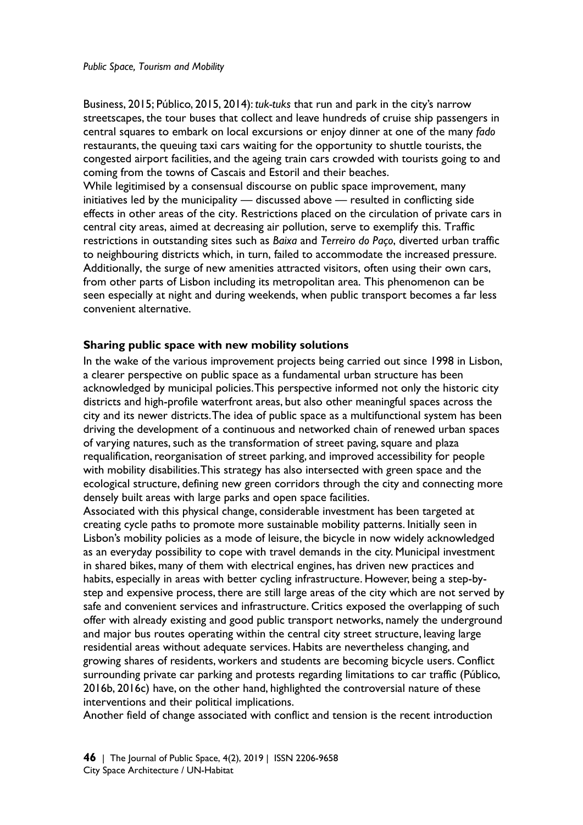Business, 2015; Público, 2015, 2014): *tuk-tuks* that run and park in the city's narrow streetscapes, the tour buses that collect and leave hundreds of cruise ship passengers in central squares to embark on local excursions or enjoy dinner at one of the many *fado*  restaurants, the queuing taxi cars waiting for the opportunity to shuttle tourists, the congested airport facilities, and the ageing train cars crowded with tourists going to and coming from the towns of Cascais and Estoril and their beaches.

While legitimised by a consensual discourse on public space improvement, many initiatives led by the municipality — discussed above — resulted in conflicting side effects in other areas of the city. Restrictions placed on the circulation of private cars in central city areas, aimed at decreasing air pollution, serve to exemplify this. Traffic restrictions in outstanding sites such as *Baixa* and *Terreiro do Paço*, diverted urban traffic to neighbouring districts which, in turn, failed to accommodate the increased pressure. Additionally, the surge of new amenities attracted visitors, often using their own cars, from other parts of Lisbon including its metropolitan area. This phenomenon can be seen especially at night and during weekends, when public transport becomes a far less convenient alternative.

#### **Sharing public space with new mobility solutions**

In the wake of the various improvement projects being carried out since 1998 in Lisbon, a clearer perspective on public space as a fundamental urban structure has been acknowledged by municipal policies. This perspective informed not only the historic city districts and high-profile waterfront areas, but also other meaningful spaces across the city and its newer districts. The idea of public space as a multifunctional system has been driving the development of a continuous and networked chain of renewed urban spaces of varying natures, such as the transformation of street paving, square and plaza requalification, reorganisation of street parking, and improved accessibility for people with mobility disabilities. This strategy has also intersected with green space and the ecological structure, defining new green corridors through the city and connecting more densely built areas with large parks and open space facilities.

Associated with this physical change, considerable investment has been targeted at creating cycle paths to promote more sustainable mobility patterns. Initially seen in Lisbon's mobility policies as a mode of leisure, the bicycle in now widely acknowledged as an everyday possibility to cope with travel demands in the city. Municipal investment in shared bikes, many of them with electrical engines, has driven new practices and habits, especially in areas with better cycling infrastructure. However, being a step-bystep and expensive process, there are still large areas of the city which are not served by safe and convenient services and infrastructure. Critics exposed the overlapping of such offer with already existing and good public transport networks, namely the underground and major bus routes operating within the central city street structure, leaving large residential areas without adequate services. Habits are nevertheless changing, and growing shares of residents, workers and students are becoming bicycle users. Conflict surrounding private car parking and protests regarding limitations to car traffic (Público, 2016b, 2016c) have, on the other hand, highlighted the controversial nature of these interventions and their political implications.

Another field of change associated with conflict and tension is the recent introduction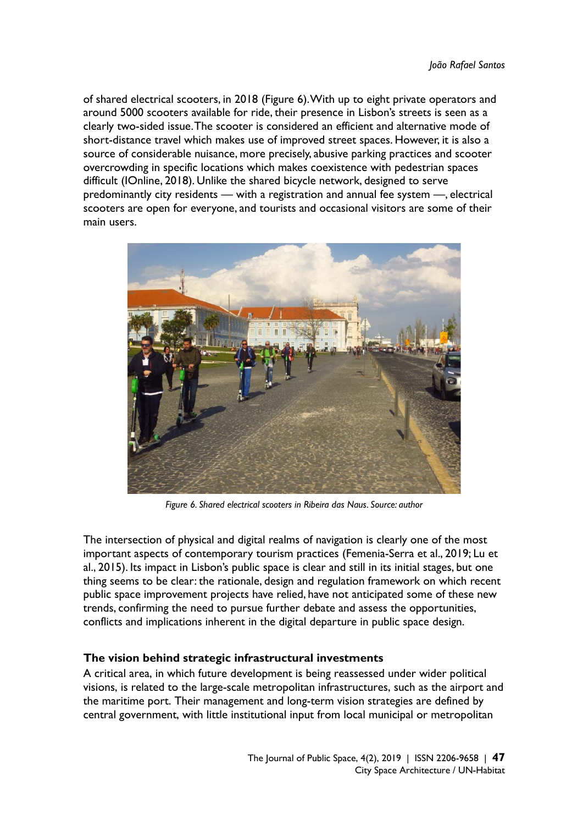of shared electrical scooters, in 2018 (Figure 6). With up to eight private operators and around 5000 scooters available for ride, their presence in Lisbon's streets is seen as a clearly two-sided issue. The scooter is considered an efficient and alternative mode of short-distance travel which makes use of improved street spaces. However, it is also a source of considerable nuisance, more precisely, abusive parking practices and scooter overcrowding in specific locations which makes coexistence with pedestrian spaces difficult (IOnline, 2018). Unlike the shared bicycle network, designed to serve predominantly city residents — with a registration and annual fee system —, electrical scooters are open for everyone, and tourists and occasional visitors are some of their main users.



*Figure 6. Shared electrical scooters in Ribeira das Naus. Source: author* 

The intersection of physical and digital realms of navigation is clearly one of the most important aspects of contemporary tourism practices (Femenia-Serra et al., 2019; Lu et al., 2015). Its impact in Lisbon's public space is clear and still in its initial stages, but one thing seems to be clear: the rationale, design and regulation framework on which recent public space improvement projects have relied, have not anticipated some of these new trends, confirming the need to pursue further debate and assess the opportunities, conflicts and implications inherent in the digital departure in public space design.

## **The vision behind strategic infrastructural investments**

A critical area, in which future development is being reassessed under wider political visions, is related to the large-scale metropolitan infrastructures, such as the airport and the maritime port. Their management and long-term vision strategies are defined by central government, with little institutional input from local municipal or metropolitan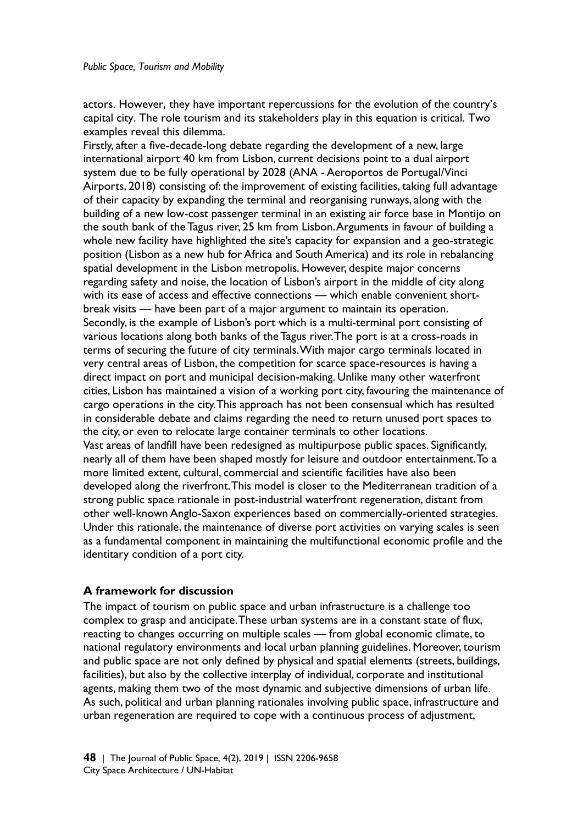actors. However, they have important repercussions for the evolution of the country's capital city. The role tourism and its stakeholders play in this equation is critical. Two examples reveal this dilemma.

Firstly, after a five-decade-long debate regarding the development of a new, large international airport 40 km from Lisbon, current decisions point to a dual airport system due to be fully operational by 2028 (ANA - Aeroportos de Portugal/Vinci Airports, 2018) consisting of: the improvement of existing facilities, taking full advantage of their capacity by expanding the terminal and reorganising runways, along with the building of a new low-cost passenger terminal in an existing air force base in Montijo on the south bank of the Tagus river, 25 km from Lisbon. Arguments in favour of building a whole new facility have highlighted the site's capacity for expansion and a geo-strategic position (Lisbon as a new hub for Africa and South America) and its role in rebalancing spatial development in the Lisbon metropolis. However, despite major concerns regarding safety and noise, the location of Lisbon's airport in the middle of city along with its ease of access and effective connections — which enable convenient shortbreak visits — have been part of a major argument to maintain its operation. Secondly, is the example of Lisbon's port which is a multi-terminal port consisting of various locations along both banks of the Tagus river. The port is at a cross-roads in terms of securing the future of city terminals. With major cargo terminals located in very central areas of Lisbon, the competition for scarce space-resources is having a direct impact on port and municipal decision-making. Unlike many other waterfront cities, Lisbon has maintained a vision of a working port city, favouring the maintenance of cargo operations in the city. This approach has not been consensual which has resulted in considerable debate and claims regarding the need to return unused port spaces to the city, or even to relocate large container terminals to other locations. Vast areas of landfill have been redesigned as multipurpose public spaces. Significantly, nearly all of them have been shaped mostly for leisure and outdoor entertainment. To a more limited extent, cultural, commercial and scientific facilities have also been developed along the riverfront. This model is closer to the Mediterranean tradition of a strong public space rationale in post-industrial waterfront regeneration, distant from other well-known Anglo-Saxon experiences based on commercially-oriented strategies. Under this rationale, the maintenance of diverse port activities on varying scales is seen as a fundamental component in maintaining the multifunctional economic profile and the identitary condition of a port city.

## **A framework for discussion**

The impact of tourism on public space and urban infrastructure is a challenge too complex to grasp and anticipate. These urban systems are in a constant state of flux, reacting to changes occurring on multiple scales — from global economic climate, to national regulatory environments and local urban planning guidelines. Moreover, tourism and public space are not only defined by physical and spatial elements (streets, buildings, facilities), but also by the collective interplay of individual, corporate and institutional agents, making them two of the most dynamic and subjective dimensions of urban life. As such, political and urban planning rationales involving public space, infrastructure and urban regeneration are required to cope with a continuous process of adjustment,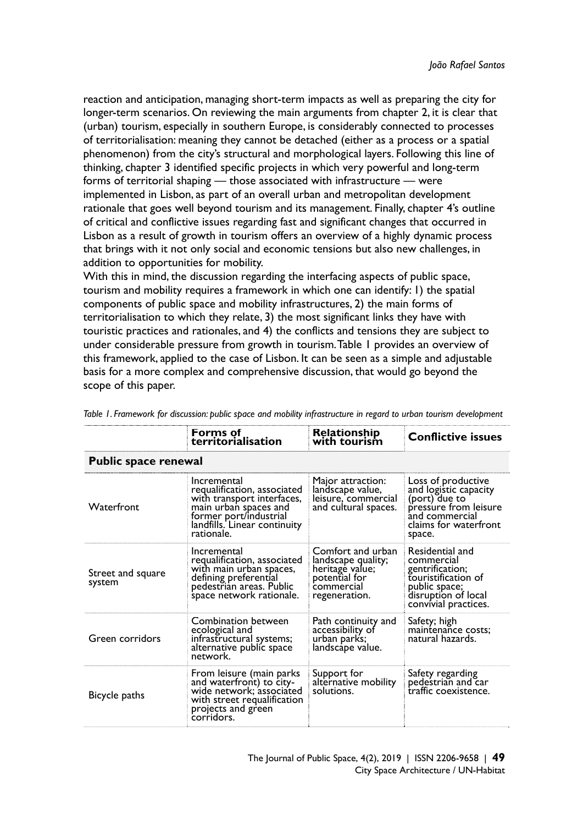reaction and anticipation, managing short-term impacts as well as preparing the city for longer-term scenarios. On reviewing the main arguments from chapter 2, it is clear that (urban) tourism, especially in southern Europe, is considerably connected to processes of territorialisation: meaning they cannot be detached (either as a process or a spatial phenomenon) from the city's structural and morphological layers. Following this line of thinking, chapter 3 identified specific projects in which very powerful and long-term forms of territorial shaping — those associated with infrastructure — were implemented in Lisbon, as part of an overall urban and metropolitan development rationale that goes well beyond tourism and its management. Finally, chapter 4's outline of critical and conflictive issues regarding fast and significant changes that occurred in Lisbon as a result of growth in tourism offers an overview of a highly dynamic process that brings with it not only social and economic tensions but also new challenges, in addition to opportunities for mobility.

With this in mind, the discussion regarding the interfacing aspects of public space, tourism and mobility requires a framework in which one can identify: 1) the spatial components of public space and mobility infrastructures, 2) the main forms of territorialisation to which they relate, 3) the most significant links they have with touristic practices and rationales, and 4) the conflicts and tensions they are subject to under considerable pressure from growth in tourism. Table 1 provides an overview of this framework, applied to the case of Lisbon. It can be seen as a simple and adjustable basis for a more complex and comprehensive discussion, that would go beyond the scope of this paper.

|                             | Forms of<br>territorialisation                                                                                                                                            | <b>Relationship</b><br>with tourism                                                                        | <b>Conflictive issues</b>                                                                                                                  |  |  |
|-----------------------------|---------------------------------------------------------------------------------------------------------------------------------------------------------------------------|------------------------------------------------------------------------------------------------------------|--------------------------------------------------------------------------------------------------------------------------------------------|--|--|
| <b>Public space renewal</b> |                                                                                                                                                                           |                                                                                                            |                                                                                                                                            |  |  |
| <b>Waterfront</b>           | Incremental<br>requalification, associated<br>with transport interfaces,<br>main urban spaces and<br>former port/industrial<br>landfills. Linear continuity<br>rationale. | Major attraction:<br>landscape value,<br>leisure, commercial<br>and cultural spaces.                       | Loss of productive<br>and logistic capacity<br>(port) due to<br>pressure from leisure<br>and commercial<br>claims for waterfront<br>space. |  |  |
| Street and square<br>system | Incremental<br>requalification, associated<br>with main urban spaces,<br>defining preferential<br>pedestrian areas. Public<br>space network rationale.                    | Comfort and urban<br>landscape quality;<br>heritage value;<br>potential for<br>commercial<br>regeneration. | Residential and<br>commercial<br>gentrification;<br>touristification of<br>public space;<br>disruption of local<br>convivial practices.    |  |  |
| Green corridors             | Combination between<br>ecological and<br>infrastructural systems;<br>alternative public space<br>network.                                                                 | Path continuity and<br>accessibility of<br>urban parks;<br>landscape value.                                | Safety; high<br>maintenance costs;<br>natural hazards.                                                                                     |  |  |
| Bicycle paths               | From leisure (main parks<br>and waterfront) to city-<br>wide network; associated<br>with street requalification<br>projects and green<br>corridors.                       | Support for<br>alternative mobility<br>solutions.                                                          | Safety regarding<br>pedestrian and car<br>traffic coexistence.                                                                             |  |  |

*Table 1. Framework for discussion: public space and mobility infrastructure in regard to urban tourism development*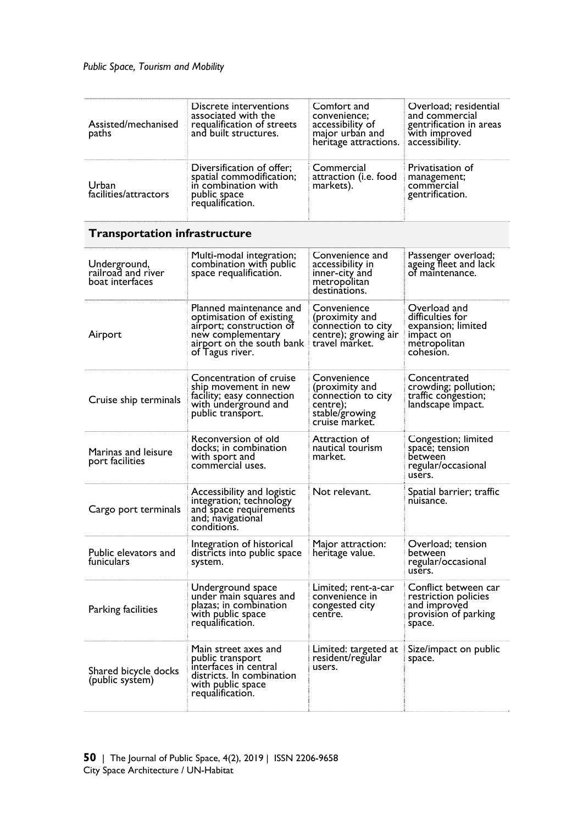| Assisted/mechanised<br>paths                          | Discrete interventions<br>associated with the<br>requalification of streets<br>and built structures.                                                 | Comfort and<br>convenience;<br>accessibility of<br>major urban and<br>heritage attractions.         | Overload; residential<br>and commercial<br>gentrification in areas<br>with improved<br>accessibility. |
|-------------------------------------------------------|------------------------------------------------------------------------------------------------------------------------------------------------------|-----------------------------------------------------------------------------------------------------|-------------------------------------------------------------------------------------------------------|
| Urban<br>facilities/attractors                        | Diversification of offer;<br>spatial commodification;<br>in combination with<br>public space<br>requalification.                                     | Commercial<br>attraction (i.e. food<br>markets).                                                    | Privatisation of<br>management;<br>commercial<br>gentrification.                                      |
| <b>Transportation infrastructure</b>                  |                                                                                                                                                      |                                                                                                     |                                                                                                       |
| Underground,<br>railroad and river<br>boat interfaces | Multi-modal integration;<br>combination with public<br>space requalification.                                                                        | Convenience and<br>accessibility in<br>inner-city and<br>metropolitan<br>destinations.              | Passenger overload;<br>ageing fleet and lack<br>of maintenance.                                       |
| Airport                                               | Planned maintenance and<br>optimisation of existing<br>airport; construction of<br>new complementary<br>airport on the south bank<br>of Tagus river. | Convenience<br>(proximity and<br>connection to city<br>centre); growing air<br>travel market.       | Overload and<br>difficulties for<br>expansion; limited<br>impact on<br>metropolitan<br>cohesion.      |
| Cruise ship terminals                                 | Concentration of cruise<br>ship movement in new<br>facility; easy connection<br>with underground and<br>public transport.                            | Convenience<br>(proximity and<br>connection to city<br>centre);<br>stable/growing<br>cruise market. | Concentrated<br>crowding; pollution;<br>traffic congestion;<br>landscape impact.                      |
| Marinas and leisure<br>port facilities                | Reconversion of old<br>docks; in combination<br>with sport and<br>commercial uses.                                                                   | Attraction of<br>nautical tourism<br>market.                                                        | Congestion; limited<br>space; tension<br>between<br>regular/occasional<br>users.                      |
| Cargo port terminals                                  | Accessibility and logistic<br>integration; technology<br>and space requirements<br>and; navigational<br>conditions.                                  | Not relevant.                                                                                       | Spatial barrier; traffic<br>nuisance.                                                                 |
| Public elevators and<br>funiculars                    | Integration of historical<br>districts into public space<br>system.                                                                                  | Major attraction:<br>heritage value.                                                                | Overload; tension<br>between<br>regular/occasional<br>users.                                          |
| Parking facilities                                    | Underground space<br>under main squares and<br>plazas; in combination<br>with public space<br>requalification.                                       | Limited; rent-a-car<br>convenience in<br>congested city<br>centre.                                  | Conflict between car<br>restriction policies<br>and improved<br>provision of parking<br>space.        |
| Shared bicycle docks<br>(public system)               | Main street axes and<br>public transport<br>interfaces in central<br>districts. In combination<br>with public space<br>requalification.              | Limited: targeted at<br>resident/regular<br>users.                                                  | Size/impact on public<br>space.                                                                       |
|                                                       |                                                                                                                                                      |                                                                                                     |                                                                                                       |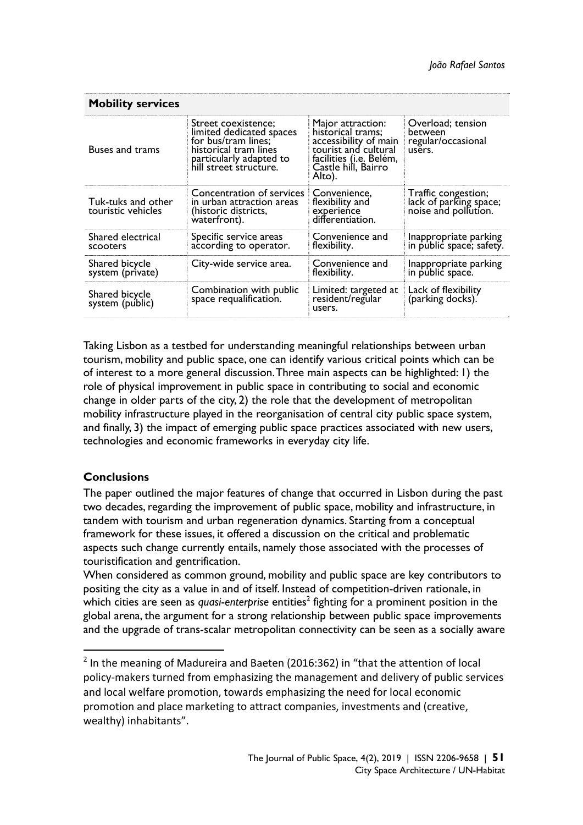| <b>Mobility services</b>                 |                                                                                                                                                      |                                                                                                                                                     |                                                                       |  |  |
|------------------------------------------|------------------------------------------------------------------------------------------------------------------------------------------------------|-----------------------------------------------------------------------------------------------------------------------------------------------------|-----------------------------------------------------------------------|--|--|
| Buses and trams                          | Street coexistence;<br>limited dedicated spaces<br>for bus/tram lines;<br>historical tram lines<br>particularly adapted to<br>hill street structure. | Major attraction:<br>historical trams;<br>accessibility of main<br>tourist and cultural<br>facilities (i.e. Belém,<br>Castle hill, Bairro<br>Alto). | Overload; tension<br>between<br>regular/occasional<br>users.          |  |  |
| Tuk-tuks and other<br>touristic vehicles | Concentration of services<br>in urban attraction areas<br>(historic districts,<br>waterfront).                                                       | Convenience,<br>flexibility and<br>experience<br>differentiation.                                                                                   | Traffic congestion;<br>lack of parking space;<br>noise and pollution. |  |  |
| Shared electrical<br>scooters            | Specific service areas<br>according to operator.                                                                                                     | Convenience and<br>flexibility.                                                                                                                     | Inappropriate parking<br>in public space; safety.                     |  |  |
| Shared bicycle<br>system (private)       | City-wide service area.                                                                                                                              | Convenience and<br>flexibility.                                                                                                                     | Inappropriate parking<br>in public space.                             |  |  |
| Shared bicycle<br>system (public)        | Combination with public<br>space requalification.                                                                                                    | Limited: targeted at<br>resident/regular<br>users.                                                                                                  | Lack of flexibility<br>(parking docks).                               |  |  |

Taking Lisbon as a testbed for understanding meaningful relationships between urban tourism, mobility and public space, one can identify various critical points which can be of interest to a more general discussion. Three main aspects can be highlighted: 1) the role of physical improvement in public space in contributing to social and economic change in older parts of the city, 2) the role that the development of metropolitan mobility infrastructure played in the reorganisation of central city public space system, and finally, 3) the impact of emerging public space practices associated with new users, technologies and economic frameworks in everyday city life.

## **Conclusions**

1

The paper outlined the major features of change that occurred in Lisbon during the past two decades, regarding the improvement of public space, mobility and infrastructure, in tandem with tourism and urban regeneration dynamics. Starting from a conceptual framework for these issues, it offered a discussion on the critical and problematic aspects such change currently entails, namely those associated with the processes of touristification and gentrification.

When considered as common ground, mobility and public space are key contributors to positing the city as a value in and of itself. Instead of competition-driven rationale, in which cities are seen as *quasi-enterprise* entities<sup>2</sup> fighting for a prominent position in the global arena, the argument for a strong relationship between public space improvements and the upgrade of trans-scalar metropolitan connectivity can be seen as a socially aware

 $2$  In the meaning of Madureira and Baeten (2016:362) in "that the attention of local policy-makers turned from emphasizing the management and delivery of public services and local welfare promotion, towards emphasizing the need for local economic promotion and place marketing to attract companies, investments and (creative, wealthy) inhabitants".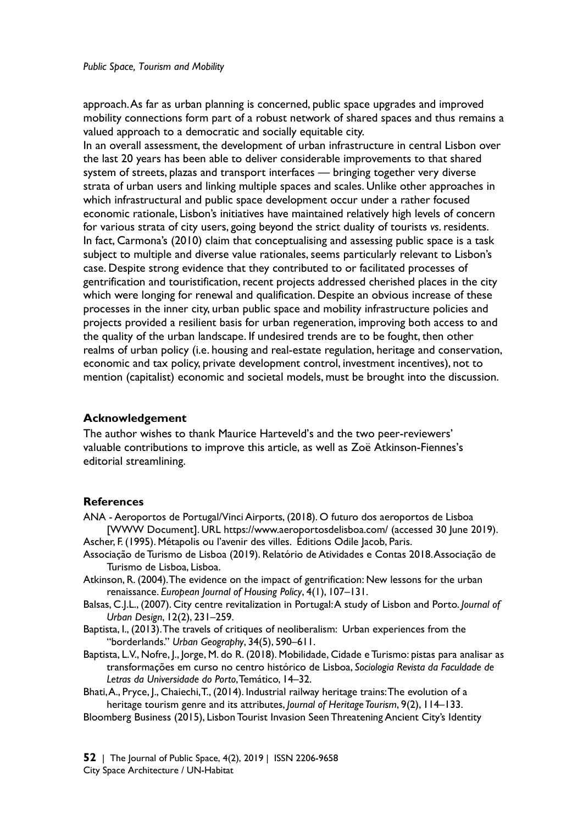approach. As far as urban planning is concerned, public space upgrades and improved mobility connections form part of a robust network of shared spaces and thus remains a valued approach to a democratic and socially equitable city.

In an overall assessment, the development of urban infrastructure in central Lisbon over the last 20 years has been able to deliver considerable improvements to that shared system of streets, plazas and transport interfaces — bringing together very diverse strata of urban users and linking multiple spaces and scales. Unlike other approaches in which infrastructural and public space development occur under a rather focused economic rationale, Lisbon's initiatives have maintained relatively high levels of concern for various strata of city users, going beyond the strict duality of tourists *vs*. residents. In fact, Carmona's (2010) claim that conceptualising and assessing public space is a task subject to multiple and diverse value rationales, seems particularly relevant to Lisbon's case. Despite strong evidence that they contributed to or facilitated processes of gentrification and touristification, recent projects addressed cherished places in the city which were longing for renewal and qualification. Despite an obvious increase of these processes in the inner city, urban public space and mobility infrastructure policies and projects provided a resilient basis for urban regeneration, improving both access to and the quality of the urban landscape. If undesired trends are to be fought, then other realms of urban policy (i.e. housing and real-estate regulation, heritage and conservation, economic and tax policy, private development control, investment incentives), not to mention (capitalist) economic and societal models, must be brought into the discussion.

## **Acknowledgement**

The author wishes to thank Maurice Harteveld's and the two peer-reviewers' valuable contributions to improve this article, as well as Zoë Atkinson-Fiennes's editorial streamlining.

## **References**

- ANA Aeroportos de Portugal/Vinci Airports, (2018). O futuro dos aeroportos de Lisboa [WWW Document]. URL https://www.aeroportosdelisboa.com/ (accessed 30 June 2019).
- Ascher, F. (1995). Métapolis ou l'avenir des villes. Éditions Odile Jacob, Paris. Associação de Turismo de Lisboa (2019). Relatório de Atividades e Contas 2018. Associação de Turismo de Lisboa, Lisboa.
- Atkinson, R. (2004). The evidence on the impact of gentrification: New lessons for the urban renaissance. *European Journal of Housing Policy*, 4(1), 107–131.
- Balsas, C.J.L., (2007). City centre revitalization in Portugal: A study of Lisbon and Porto. *Journal of Urban Design*, 12(2), 231–259.
- Baptista, I., (2013). The travels of critiques of neoliberalism: Urban experiences from the "borderlands." *Urban Geography*, 34(5), 590–611.
- Baptista, L.V., Nofre, J., Jorge, M. do R. (2018). Mobilidade, Cidade e Turismo: pistas para analisar as transformações em curso no centro histórico de Lisboa, *Sociologia Revista da Faculdade de Letras da Universidade do Porto*, Temático, 14–32.
- Bhati, A., Pryce, J., Chaiechi, T., (2014). Industrial railway heritage trains: The evolution of a heritage tourism genre and its attributes, *Journal of Heritage Tourism*, 9(2), 114–133.
- Bloomberg Business (2015), Lisbon Tourist Invasion Seen Threatening Ancient City's Identity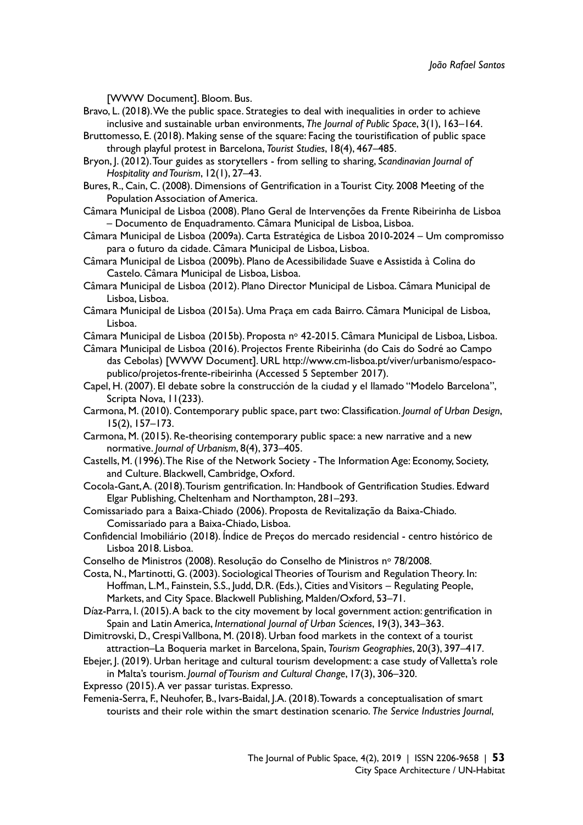[WWW Document]. Bloom. Bus.

- Bravo, L. (2018). We the public space. Strategies to deal with inequalities in order to achieve inclusive and sustainable urban environments, *The Journal of Public Space*, 3(1), 163–164.
- Bruttomesso, E. (2018). Making sense of the square: Facing the touristification of public space through playful protest in Barcelona, *Tourist Studies*, 18(4), 467–485.
- Bryon, J. (2012). Tour guides as storytellers from selling to sharing, *Scandinavian Journal of Hospitality and Tourism*, 12(1), 27–43.
- Bures, R., Cain, C. (2008). Dimensions of Gentrification in a Tourist City. 2008 Meeting of the Population Association of America.
- Câmara Municipal de Lisboa (2008). Plano Geral de Intervenções da Frente Ribeirinha de Lisboa – Documento de Enquadramento. Câmara Municipal de Lisboa, Lisboa.
- Câmara Municipal de Lisboa (2009a). Carta Estratégica de Lisboa 2010-2024 Um compromisso para o futuro da cidade. Câmara Municipal de Lisboa, Lisboa.
- Câmara Municipal de Lisboa (2009b). Plano de Acessibilidade Suave e Assistida à Colina do Castelo. Câmara Municipal de Lisboa, Lisboa.
- Câmara Municipal de Lisboa (2012). Plano Director Municipal de Lisboa. Câmara Municipal de Lisboa, Lisboa.
- Câmara Municipal de Lisboa (2015a). Uma Praça em cada Bairro. Câmara Municipal de Lisboa, Lisboa.
- Câmara Municipal de Lisboa (2015b). Proposta nº 42-2015. Câmara Municipal de Lisboa, Lisboa.
- Câmara Municipal de Lisboa (2016). Projectos Frente Ribeirinha (do Cais do Sodré ao Campo das Cebolas) [WWW Document]. URL http://www.cm-lisboa.pt/viver/urbanismo/espacopublico/projetos-frente-ribeirinha (Accessed 5 September 2017).
- Capel, H. (2007). El debate sobre la construcción de la ciudad y el llamado "Modelo Barcelona", Scripta Nova, 11(233).
- Carmona, M. (2010). Contemporary public space, part two: Classification. *Journal of Urban Design*, 15(2), 157–173.
- Carmona, M. (2015). Re-theorising contemporary public space: a new narrative and a new normative. *Journal of Urbanism*, 8(4), 373–405.
- Castells, M. (1996). The Rise of the Network Society The Information Age: Economy, Society, and Culture. Blackwell, Cambridge, Oxford.
- Cocola-Gant, A. (2018). Tourism gentrification. In: Handbook of Gentrification Studies. Edward Elgar Publishing, Cheltenham and Northampton, 281–293.
- Comissariado para a Baixa-Chiado (2006). Proposta de Revitalização da Baixa-Chiado. Comissariado para a Baixa-Chiado, Lisboa.
- Confidencial Imobiliário (2018). Índice de Preços do mercado residencial centro histórico de Lisboa 2018. Lisboa.
- Conselho de Ministros (2008). Resolução do Conselho de Ministros nº 78/2008.
- Costa, N., Martinotti, G. (2003). Sociological Theories of Tourism and Regulation Theory. In: Hoffman, L.M., Fainstein, S.S., Judd, D.R. (Eds.), Cities and Visitors – Regulating People, Markets, and City Space. Blackwell Publishing, Malden/Oxford, 53–71.
- Díaz-Parra, I. (2015). A back to the city movement by local government action: gentrification in Spain and Latin America, *International Journal of Urban Sciences*, 19(3), 343–363.
- Dimitrovski, D., Crespi Vallbona, M. (2018). Urban food markets in the context of a tourist attraction–La Boqueria market in Barcelona, Spain, *Tourism Geographies*, 20(3), 397–417.
- Ebejer, J. (2019). Urban heritage and cultural tourism development: a case study of Valletta's role in Malta's tourism. *Journal of Tourism and Cultural Change*, 17(3), 306–320.
- Expresso (2015). A ver passar turistas. Expresso.
- Femenia-Serra, F., Neuhofer, B., Ivars-Baidal, J.A. (2018). Towards a conceptualisation of smart tourists and their role within the smart destination scenario. *The Service Industries Journal*,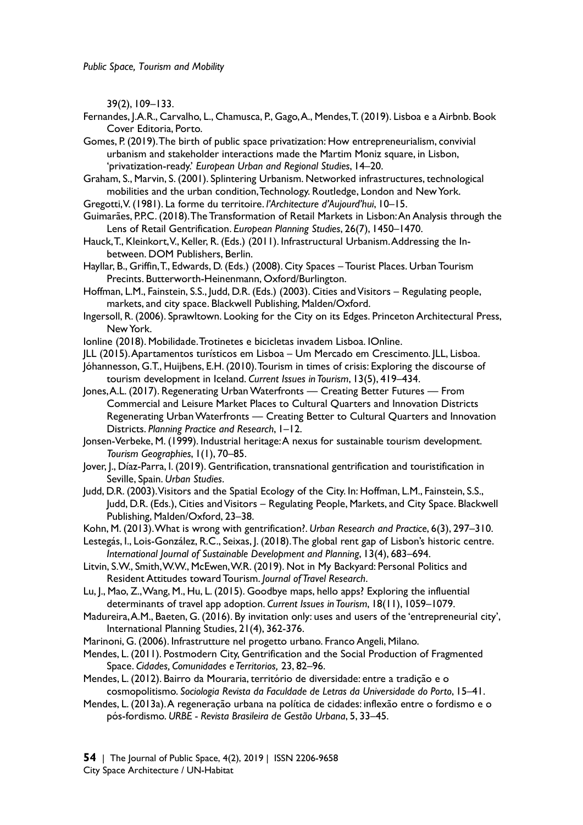39(2), 109–133.

Fernandes, J.A.R., Carvalho, L., Chamusca, P., Gago, A., Mendes, T. (2019). Lisboa e a Airbnb. Book Cover Editoria, Porto.

Gomes, P. (2019). The birth of public space privatization: How entrepreneurialism, convivial urbanism and stakeholder interactions made the Martim Moniz square, in Lisbon, 'privatization-ready.' *European Urban and Regional Studies*, 14–20.

Graham, S., Marvin, S. (2001). Splintering Urbanism. Networked infrastructures, technological mobilities and the urban condition, Technology. Routledge, London and New York.

Gregotti, V. (1981). La forme du territoire. *l'Architecture d'Aujourd'hui*, 10–15.

Guimarães, P.P.C. (2018). The Transformation of Retail Markets in Lisbon: An Analysis through the Lens of Retail Gentrification. *European Planning Studies*, 26(7), 1450–1470.

Hauck, T., Kleinkort, V., Keller, R. (Eds.) (2011). Infrastructural Urbanism. Addressing the Inbetween. DOM Publishers, Berlin.

Hayllar, B., Griffin, T., Edwards, D. (Eds.) (2008). City Spaces – Tourist Places. Urban Tourism Precints. Butterworth-Heinenmann, Oxford/Burlington.

Hoffman, L.M., Fainstein, S.S., Judd, D.R. (Eds.) (2003). Cities and Visitors – Regulating people, markets, and city space. Blackwell Publishing, Malden/Oxford.

Ingersoll, R. (2006). Sprawltown. Looking for the City on its Edges. Princeton Architectural Press, New York.

Ionline (2018). Mobilidade. Trotinetes e bicicletas invadem Lisboa. IOnline.

JLL (2015). Apartamentos turísticos em Lisboa – Um Mercado em Crescimento. JLL, Lisboa.

Jóhannesson, G.T., Huijbens, E.H. (2010). Tourism in times of crisis: Exploring the discourse of tourism development in Iceland. *Current Issues in Tourism*, 13(5), 419–434.

Jones, A.L. (2017). Regenerating Urban Waterfronts — Creating Better Futures — From Commercial and Leisure Market Places to Cultural Quarters and Innovation Districts Regenerating Urban Waterfronts — Creating Better to Cultural Quarters and Innovation Districts. *Planning Practice and Research*, 1–12.

Jonsen-Verbeke, M. (1999). Industrial heritage: A nexus for sustainable tourism development. *Tourism Geographies*, 1(1), 70–85.

Jover, J., Díaz-Parra, I. (2019). Gentrification, transnational gentrification and touristification in Seville, Spain. *Urban Studies*.

Judd, D.R. (2003). Visitors and the Spatial Ecology of the City. In: Hoffman, L.M., Fainstein, S.S., Judd, D.R. (Eds.), Cities and Visitors – Regulating People, Markets, and City Space. Blackwell Publishing, Malden/Oxford, 23–38.

Kohn, M. (2013). What is wrong with gentrification?. *Urban Research and Practice*, 6(3), 297–310.

Lestegás, I., Lois-González, R.C., Seixas, J. (2018). The global rent gap of Lisbon's historic centre. *International Journal of Sustainable Development and Planning*, 13(4), 683–694.

Litvin, S.W., Smith, W.W., McEwen, W.R. (2019). Not in My Backyard: Personal Politics and Resident Attitudes toward Tourism. *Journal of Travel Research*.

Lu, J., Mao, Z., Wang, M., Hu, L. (2015). Goodbye maps, hello apps? Exploring the influential determinants of travel app adoption. *Current Issues in Tourism*, 18(11), 1059–1079.

Madureira, A.M., Baeten, G. (2016). By invitation only: uses and users of the 'entrepreneurial city', International Planning Studies, 21(4), 362-376.

Marinoni, G. (2006). Infrastrutture nel progetto urbano. Franco Angeli, Milano.

Mendes, L. (2011). Postmodern City, Gentrification and the Social Production of Fragmented Space. *Cidades, Comunidades e Territorios,* 23, 82–96.

Mendes, L. (2012). Bairro da Mouraria, território de diversidade: entre a tradição e o cosmopolitismo. *Sociologia Revista da Faculdade de Letras da Universidade do Porto*, 15–41.

Mendes, L. (2013a). A regeneração urbana na política de cidades: inflexão entre o fordismo e o pós-fordismo. *URBE - Revista Brasileira de Gestão Urbana*, 5, 33–45.

**54** | The Journal of Public Space, 4(2), 2019 | ISSN 2206-9658 City Space Architecture / UN-Habitat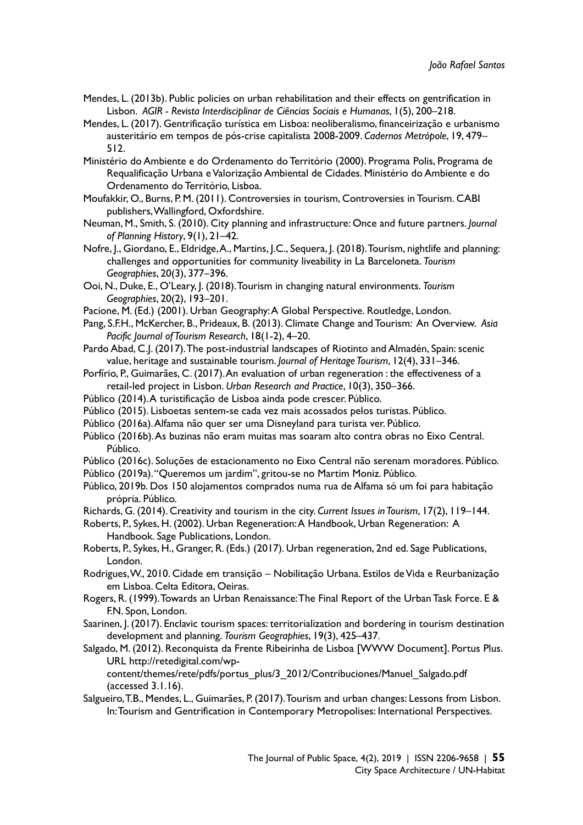- Mendes, L. (2013b). Public policies on urban rehabilitation and their effects on gentrification in Lisbon. *AGIR - Revista Interdisciplinar de Ciências Sociais e Humanas*, 1(5), 200–218.
- Mendes, L. (2017). Gentrificação turística em Lisboa: neoliberalismo, financeirização e urbanismo austeritário em tempos de pós-crise capitalista 2008-2009. *Cadernos Metrópole*, 19, 479– 512.
- Ministério do Ambiente e do Ordenamento do Território (2000). Programa Polis, Programa de Requalificação Urbana e Valorização Ambiental de Cidades. Ministério do Ambiente e do Ordenamento do Território, Lisboa.
- Moufakkir, O., Burns, P. M. (2011). Controversies in tourism, Controversies in Tourism. CABI publishers, Wallingford, Oxfordshire.
- Neuman, M., Smith, S. (2010). City planning and infrastructure: Once and future partners. *Journal of Planning History*, 9(1), 21–42.
- Nofre, J., Giordano, E., Eldridge, A., Martins, J.C., Sequera, J. (2018). Tourism, nightlife and planning: challenges and opportunities for community liveability in La Barceloneta. *Tourism Geographies*, 20(3), 377–396.
- Ooi, N., Duke, E., O'Leary, J. (2018). Tourism in changing natural environments. *Tourism Geographies*, 20(2), 193–201.
- Pacione, M. (Ed.) (2001). Urban Geography: A Global Perspective. Routledge, London.
- Pang, S.F.H., McKercher, B., Prideaux, B. (2013). Climate Change and Tourism: An Overview. *Asia Pacific Journal of Tourism Research*, 18(1-2), 4–20.
- Pardo Abad, C.J. (2017). The post-industrial landscapes of Riotinto and Almadén, Spain: scenic value, heritage and sustainable tourism. *Journal of Heritage Tourism*, 12(4), 331–346.
- Porfírio, P., Guimarães, C. (2017). An evaluation of urban regeneration : the effectiveness of a retail-led project in Lisbon. *Urban Research and Practice*, 10(3), 350–366.
- Público (2014). A turistificação de Lisboa ainda pode crescer. Público.
- Público (2015). Lisboetas sentem-se cada vez mais acossados pelos turistas. Público.
- Público (2016a). Alfama não quer ser uma Disneyland para turista ver. Público.
- Público (2016b). As buzinas não eram muitas mas soaram alto contra obras no Eixo Central. Público.
- Público (2016c). Soluções de estacionamento no Eixo Central não serenam moradores. Público.
- Público (2019a). "Queremos um jardim", gritou-se no Martim Moniz. Público.
- Público, 2019b. Dos 150 alojamentos comprados numa rua de Alfama só um foi para habitação própria. Público.
- Richards, G. (2014). Creativity and tourism in the city. *Current Issues in Tourism*, 17(2), 119–144.
- Roberts, P., Sykes, H. (2002). Urban Regeneration: A Handbook, Urban Regeneration: A Handbook. Sage Publications, London.
- Roberts, P., Sykes, H., Granger, R. (Eds.) (2017). Urban regeneration, 2nd ed. Sage Publications, London.
- Rodrigues, W., 2010. Cidade em transição Nobilitação Urbana. Estilos de Vida e Reurbanização em Lisboa. Celta Editora, Oeiras.
- Rogers, R. (1999). Towards an Urban Renaissance: The Final Report of the Urban Task Force. E & F.N. Spon, London.
- Saarinen, J. (2017). Enclavic tourism spaces: territorialization and bordering in tourism destination development and planning. *Tourism Geographies*, 19(3), 425–437.
- Salgado, M. (2012). Reconquista da Frente Ribeirinha de Lisboa [WWW Document]. Portus Plus. URL http://retedigital.com/wp-

content/themes/rete/pdfs/portus\_plus/3\_2012/Contribuciones/Manuel\_Salgado.pdf (accessed 3.1.16).

Salgueiro, T.B., Mendes, L., Guimarães, P. (2017). Tourism and urban changes: Lessons from Lisbon. In: Tourism and Gentrification in Contemporary Metropolises: International Perspectives.